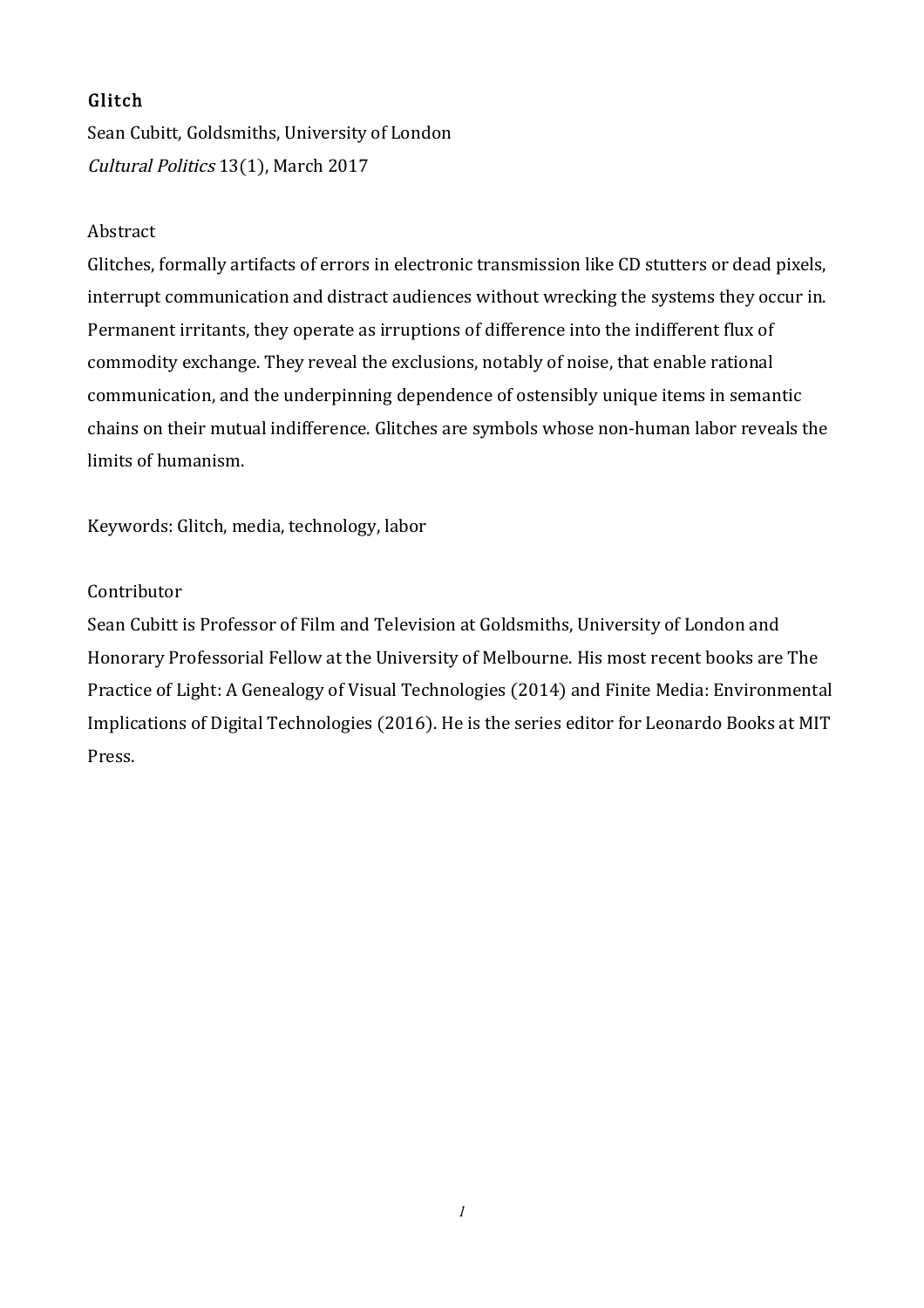# Glitch

Sean Cubitt, Goldsmiths, University of London Cultural Politics 13(1), March 2017

## Abstract

Glitches, formally artifacts of errors in electronic transmission like CD stutters or dead pixels, interrupt communication and distract audiences without wrecking the systems they occur in. Permanent irritants, they operate as irruptions of difference into the indifferent flux of commodity exchange. They reveal the exclusions, notably of noise, that enable rational communication, and the underpinning dependence of ostensibly unique items in semantic chains on their mutual indifference. Glitches are symbols whose non-human labor reveals the limits of humanism.

Keywords: Glitch, media, technology, labor

### Contributor

Sean Cubitt is Professor of Film and Television at Goldsmiths, University of London and Honorary Professorial Fellow at the University of Melbourne. His most recent books are The Practice of Light: A Genealogy of Visual Technologies (2014) and Finite Media: Environmental Implications of Digital Technologies (2016). He is the series editor for Leonardo Books at MIT Press.'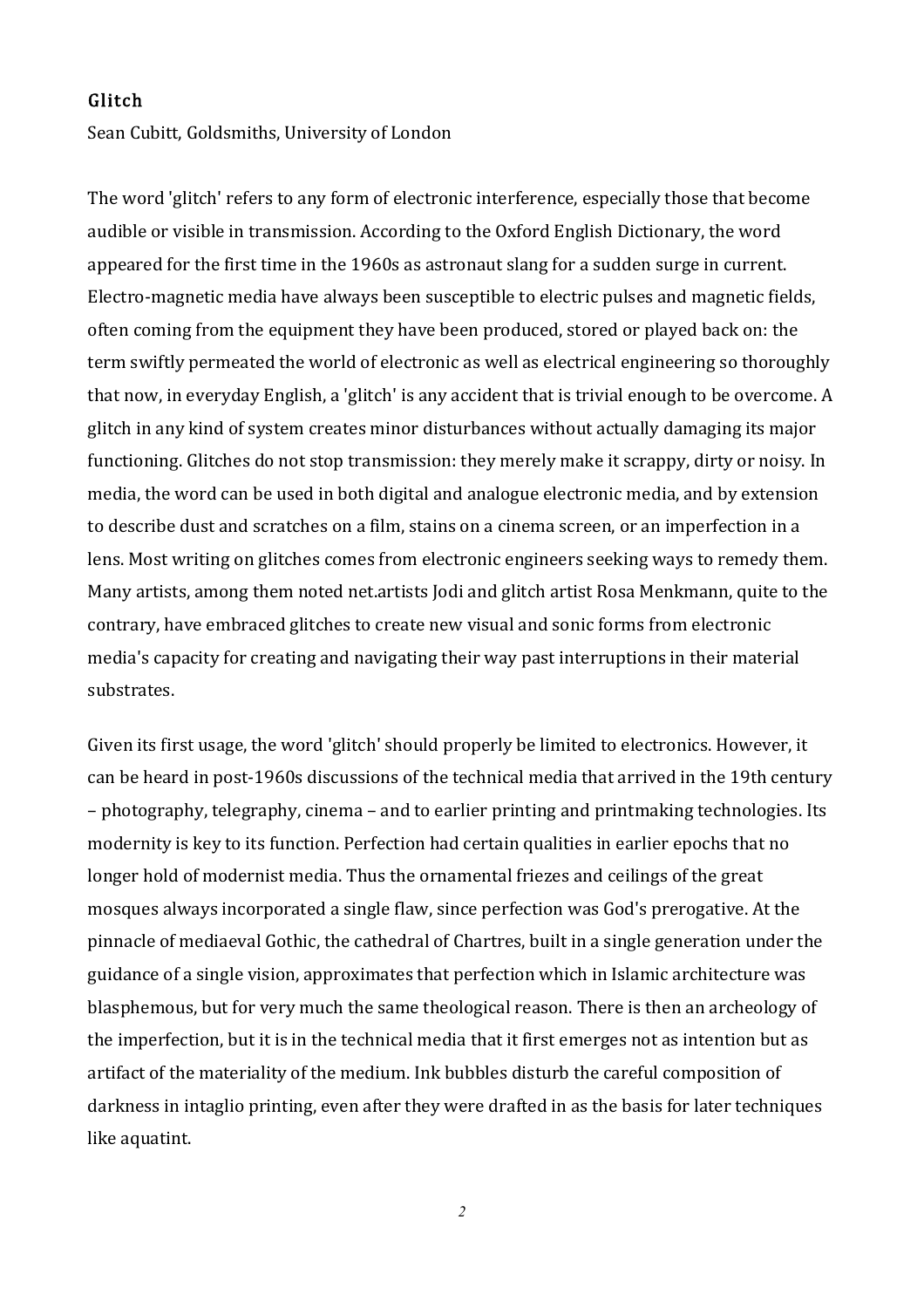#### Glitch'

Sean Cubitt, Goldsmiths, University of London

The word 'glitch' refers to any form of electronic interference, especially those that become audible or visible in transmission. According to the Oxford English Dictionary, the word appeared for the first time in the 1960s as astronaut slang for a sudden surge in current. Electro-magnetic media have always been susceptible to electric pulses and magnetic fields, often coming from the equipment they have been produced, stored or played back on: the term swiftly permeated the world of electronic as well as electrical engineering so thoroughly that now, in everyday English, a 'glitch' is any accident that is trivial enough to be overcome. A glitch in any kind of system creates minor disturbances without actually damaging its major functioning. Glitches do not stop transmission: they merely make it scrappy, dirty or noisy. In media, the word can be used in both digital and analogue electronic media, and by extension to describe dust and scratches on a film, stains on a cinema screen, or an imperfection in a lens. Most writing on glitches comes from electronic engineers seeking ways to remedy them. Many artists, among them noted net.artists Jodi and glitch artist Rosa Menkmann, quite to the contrary, have embraced glitches to create new visual and sonic forms from electronic media's capacity for creating and navigating their way past interruptions in their material substrates.

Given its first usage, the word 'glitch' should properly be limited to electronics. However, it can be heard in post-1960s discussions of the technical media that arrived in the 19th century – photography, telegraphy, cinema – and to earlier printing and printmaking technologies. Its modernity is key to its function. Perfection had certain qualities in earlier epochs that no longer hold of modernist media. Thus the ornamental friezes and ceilings of the great mosques'always' incorporated a single flaw, since perfection was God's prerogative. At the pinnacle of mediaeval Gothic, the cathedral of Chartres, built in a single generation under the guidance of a single vision, approximates that perfection which in Islamic architecture was blasphemous, but for very much the same theological reason. There is then an archeology of the imperfection, but it is in the technical media that it first emerges not as intention but as artifact of the materiality of the medium. Ink bubbles disturb the careful composition of darkness in intaglio printing, even after they were drafted in as the basis for later techniques like aquatint.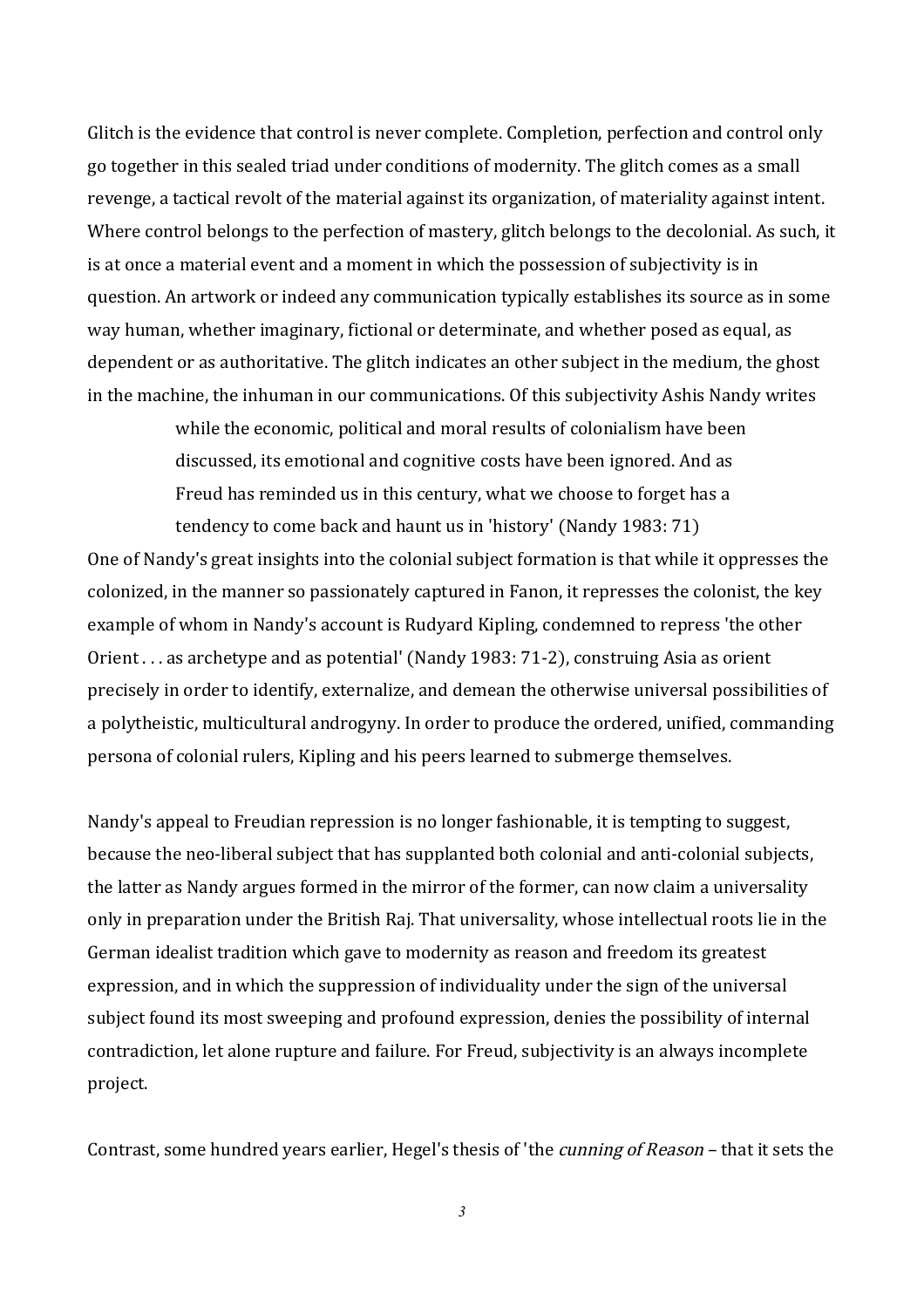Glitch is the evidence that control is never complete. Completion, perfection and control only go together in this sealed triad under conditions of modernity. The glitch comes as a small revenge, a tactical revolt of the material against its organization, of materiality against intent. Where control belongs to the perfection of mastery, glitch belongs to the decolonial. As such, it is at once a material event and a moment in which the possession of subjectivity is in question. An artwork or indeed any communication typically establishes its source as in some way human, whether imaginary, fictional or determinate, and whether posed as equal, as dependent or as authoritative. The glitch indicates an other subject in the medium, the ghost in the machine, the inhuman in our communications. Of this subjectivity Ashis Nandy writes

> while the economic, political and moral results of colonialism have been discussed, its emotional and cognitive costs have been ignored. And as Freud has reminded us in this century, what we choose to forget has a tendency to come back and haunt us in 'history' (Nandy 1983: 71)

One of Nandy's great insights into the colonial subject formation is that while it oppresses the colonized, in the manner so passionately captured in Fanon, it represses the colonist, the key example of whom in Nandy's account is Rudyard Kipling, condemned to repress 'the other' Orient  $\ldots$  as archetype and as potential' (Nandy 1983: 71-2), construing Asia as orient precisely in order to identify, externalize, and demean the otherwise universal possibilities of a polytheistic, multicultural androgyny. In order to produce the ordered, unified, commanding persona of colonial rulers, Kipling and his peers learned to submerge themselves.

Nandy's appeal to Freudian repression is no longer fashionable, it is tempting to suggest, because the neo-liberal subject that has supplanted both colonial and anti-colonial subjects, the latter as Nandy argues formed in the mirror of the former, can now claim a universality only in preparation under the British Raj. That universality, whose intellectual roots lie in the German idealist tradition which gave to modernity as reason and freedom its greatest expression, and in which the suppression of individuality under the sign of the universal subject found its most sweeping and profound expression, denies the possibility of internal contradiction, let alone rupture and failure. For Freud, subjectivity is an always incomplete project.'

Contrast, some hundred years earlier, Hegel's thesis of 'the *cunning of Reason* – that it sets the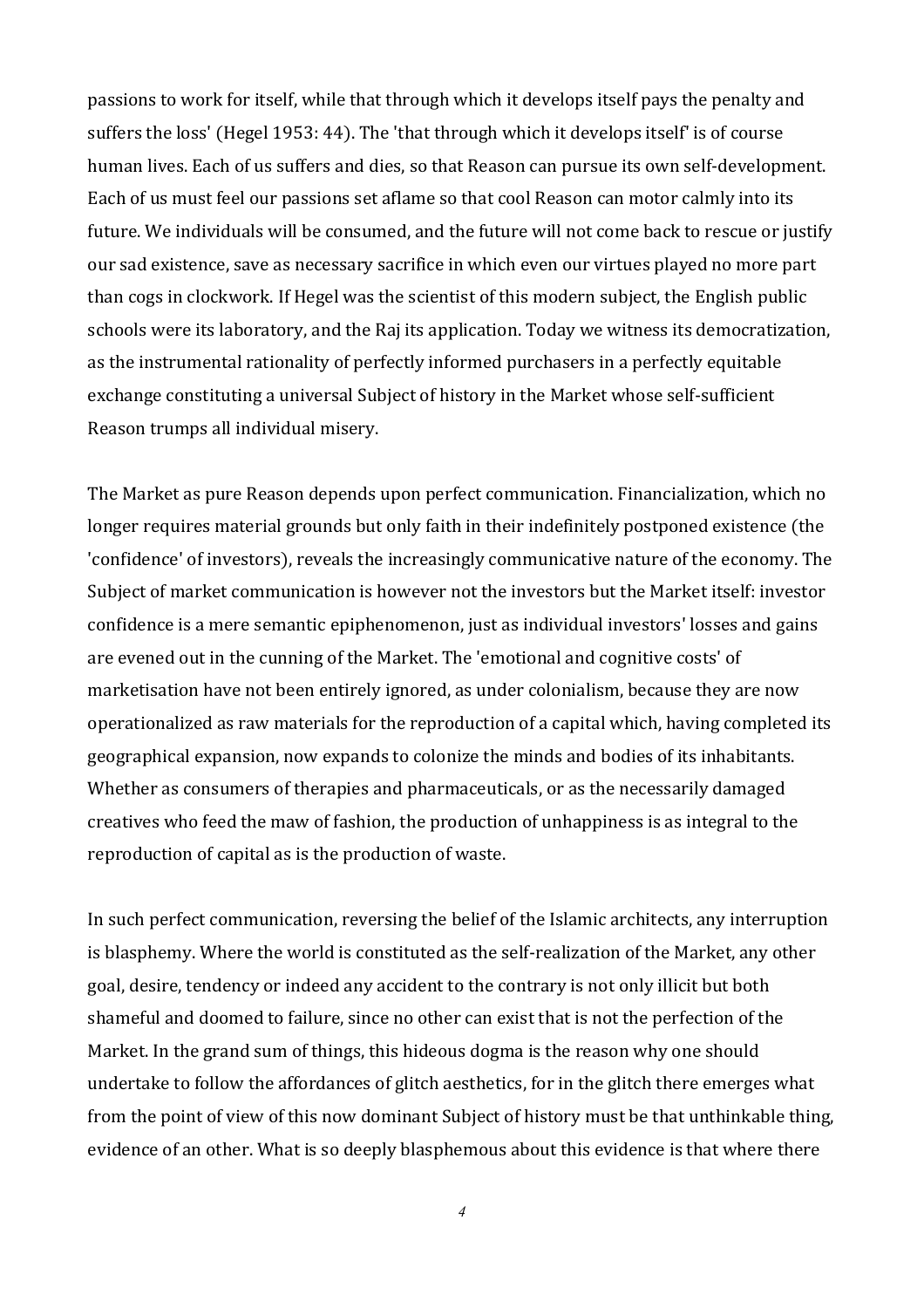passions to work for itself, while that through which it develops itself pays the penalty and suffers the loss' (Hegel 1953: 44). The 'that through which it develops itself' is of course human lives. Each of us suffers and dies, so that Reason can pursue its own self-development. Each of us must feel our passions set aflame so that cool Reason can motor calmly into its future. We individuals will be consumed, and the future will not come back to rescue or justify our sad existence, save as necessary sacrifice in which even our virtues played no more part than cogs in clockwork. If Hegel was the scientist of this modern subject, the English public schools were its laboratory, and the Raj its application. Today we witness its democratization, as the instrumental rationality of perfectly informed purchasers in a perfectly equitable exchange constituting a universal Subject of history in the Market whose self-sufficient Reason trumps all individual misery.

The Market as pure Reason depends upon perfect communication. Financialization, which no longer requires material grounds but only faith in their indefinitely postponed existence (the 'confidence' of investors), reveals the increasingly communicative nature of the economy. The Subject of market communication is however not the investors but the Market itself: investor confidence is a mere semantic epiphenomenon, just as individual investors' losses and gains are evened out in the cunning of the Market. The 'emotional and cognitive costs' of marketisation have not been entirely ignored, as under colonialism, because they are now operationalized as raw materials for the reproduction of a capital which, having completed its geographical expansion, now expands to colonize the minds and bodies of its inhabitants. Whether as consumers of therapies and pharmaceuticals, or as the necessarily damaged creatives who feed the maw of fashion, the production of unhappiness is as integral to the reproduction of capital as is the production of waste.

In such perfect communication, reversing the belief of the Islamic architects, any interruption is blasphemy. Where the world is constituted as the self-realization of the Market, any other goal, desire, tendency or indeed any accident to the contrary is not only illicit but both shameful and doomed to failure, since no other can exist that is not the perfection of the Market. In the grand sum of things, this hideous dogma is the reason why one should undertake to follow the affordances of glitch aesthetics, for in the glitch there emerges what from the point of view of this now dominant Subject of history must be that unthinkable thing, evidence of an other. What is so deeply blasphemous about this evidence is that where there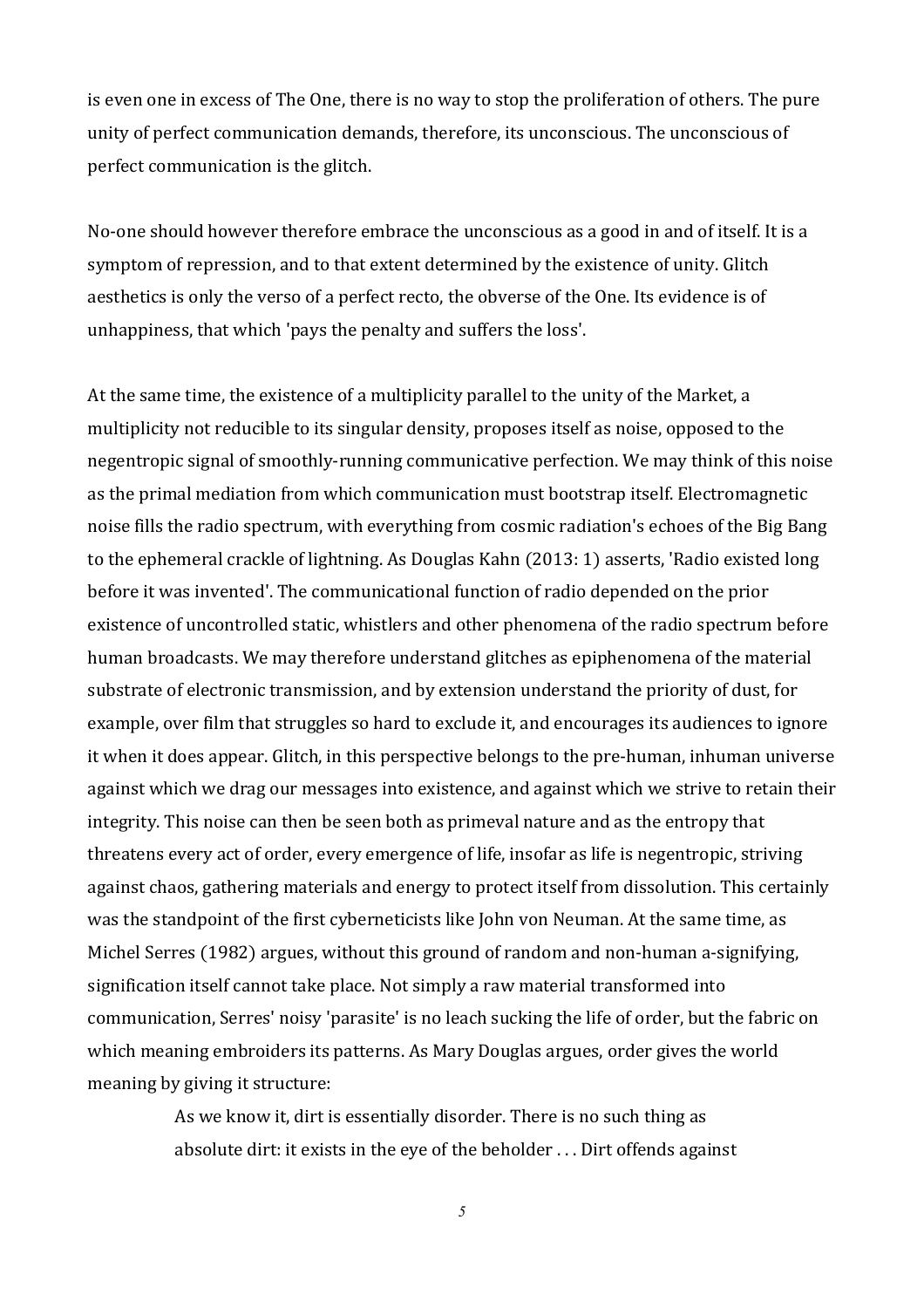is even one in excess of The One, there is no way to stop the proliferation of others. The pure unity of perfect communication demands, therefore, its unconscious. The unconscious of perfect communication is the glitch.

No-one should however therefore embrace the unconscious as a good in and of itself. It is a symptom of repression, and to that extent determined by the existence of unity. Glitch aesthetics is only the verso of a perfect recto, the obverse of the One. Its evidence is of unhappiness, that which 'pays the penalty and suffers the loss'.

At the same time, the existence of a multiplicity parallel to the unity of the Market, a multiplicity not reducible to its singular density, proposes itself as noise, opposed to the negentropic signal of smoothly-running communicative perfection. We may think of this noise as the primal mediation from which communication must bootstrap itself. Electromagnetic noise fills the radio spectrum, with everything from cosmic radiation's echoes of the Big Bang to the ephemeral crackle of lightning. As Douglas Kahn (2013: 1) asserts, 'Radio existed long before it was invented'. The communicational function of radio depended on the prior existence of uncontrolled static, whistlers and other phenomena of the radio spectrum before human'broadcasts. We may therefore understand glitches as epiphenomena of the material substrate of electronic transmission, and by extension understand the priority of dust, for example, over film that struggles so hard to exclude it, and encourages its audiences to ignore it when it does appear. Glitch, in this perspective belongs to the pre-human, inhuman universe against which we drag our messages into existence, and against which we strive to retain their integrity. This noise can then be seen both as primeval nature and as the entropy that threatens every act of order, every emergence of life, insofar as life is negentropic, striving against chaos, gathering materials and energy to protect itself from dissolution. This certainly was the standpoint of the first cyberneticists like John von Neuman. At the same time, as Michel Serres (1982) argues, without this ground of random and non-human a-signifying, signification itself cannot take place. Not simply a raw material transformed into communication, Serres' noisy 'parasite' is no leach sucking the life of order, but the fabric on which meaning embroiders its patterns. As Mary Douglas argues, order gives the world meaning by giving it structure:

> As we know it, dirt is essentially disorder. There is no such thing as absolute dirt: it exists in the eye of the beholder . . . Dirt offends against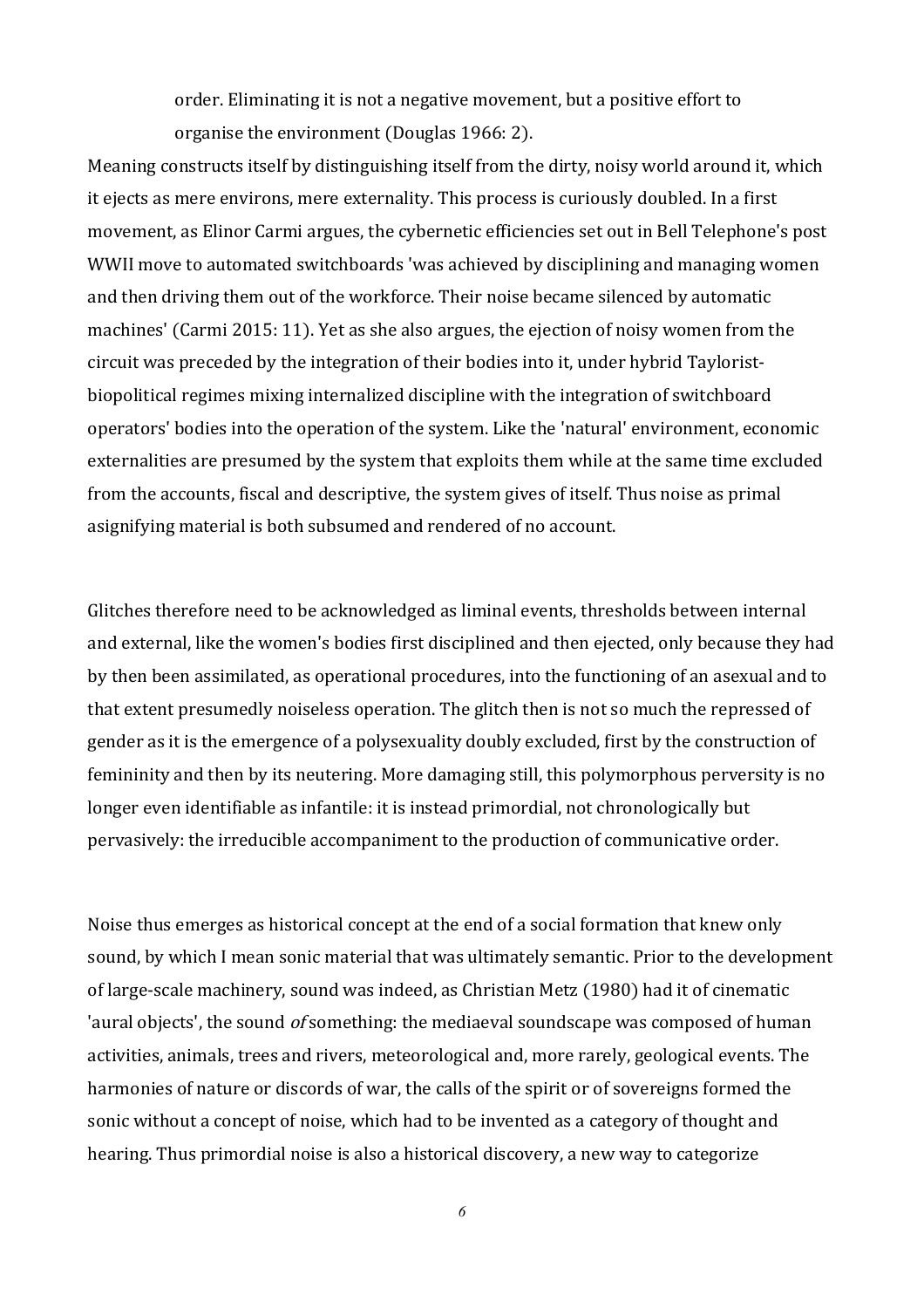order. Eliminating it is not a negative movement, but a positive effort to organise the environment (Douglas 1966: 2).

Meaning constructs itself by distinguishing itself from the dirty, noisy world around it, which it ejects as mere environs, mere externality. This process is curiously doubled. In a first movement, as Elinor Carmi argues, the cybernetic efficiencies set out in Bell Telephone's post WWII'move to automated switchboards 'was achieved by disciplining and managing women' and then driving them out of the workforce. Their noise became silenced by automatic machines' (Carmi 2015: 11). Yet as she also argues, the ejection of noisy women from the circuit was preceded by the integration of their bodies into it, under hybrid Tayloristbiopolitical regimes mixing internalized discipline with the integration of switchboard operators' bodies into the operation of the system. Like the 'natural' environment, economic externalities are presumed by the system that exploits them while at the same time excluded from the accounts, fiscal and descriptive, the system gives of itself. Thus noise as primal asignifying material is both subsumed and rendered of no account.

Glitches therefore need to be acknowledged as liminal events, thresholds between internal and external, like the women's bodies first disciplined and then ejected, only because they had by then been assimilated, as operational procedures, into the functioning of an asexual and to that extent presumedly noiseless operation. The glitch then is not so much the repressed of gender as it is the emergence of a polysexuality doubly excluded, first by the construction of femininity and then by its neutering. More damaging still, this polymorphous perversity is no longer even identifiable as infantile: it is instead primordial, not chronologically but pervasively: the irreducible accompaniment to the production of communicative order.

Noise thus emerges as historical concept at the end of a social formation that knew only sound, by which I mean sonic material that was ultimately semantic. Prior to the development of large-scale machinery, sound was indeed, as Christian Metz (1980) had it of cinematic 'aural objects', the sound *of* something: the mediaeval soundscape was composed of human' activities, animals, trees and rivers, meteorological and, more rarely, geological events. The harmonies of nature or discords of war, the calls of the spirit or of sovereigns formed the sonic without a concept of noise, which had to be invented as a category of thought and hearing. Thus primordial noise is also a historical discovery, a new way to categorize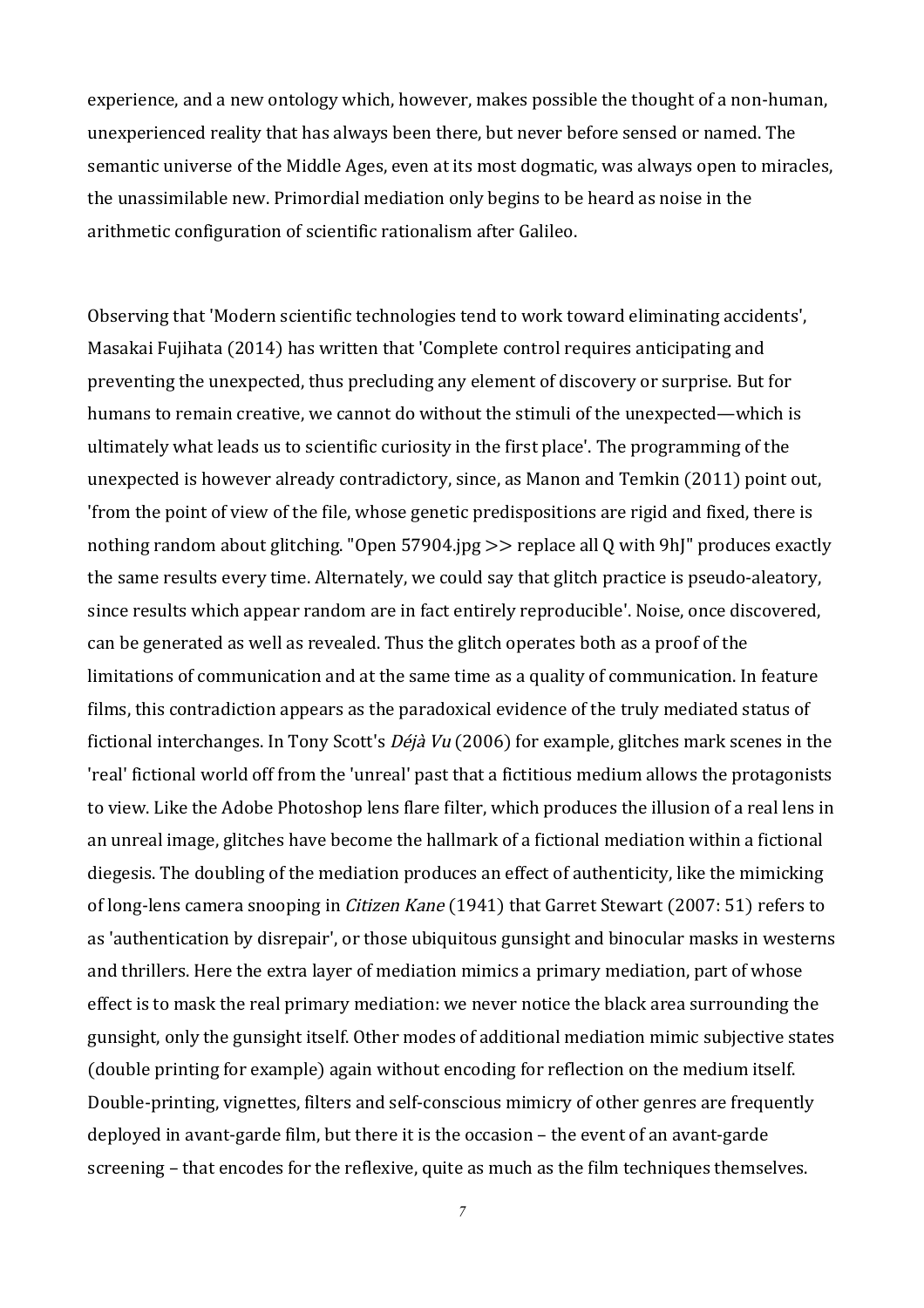experience, and a new ontology which, however, makes possible the thought of a non-human, unexperienced reality that has always been there, but never before sensed or named. The semantic universe of the Middle Ages, even at its most dogmatic, was always open to miracles, the unassimilable new. Primordial mediation only begins to be heard as noise in the arithmetic configuration of scientific rationalism after Galileo.

Observing that 'Modern scientific technologies tend to work toward eliminating accidents', Masakai Fujihata (2014) has written that 'Complete control requires anticipating and preventing the unexpected, thus precluding any element of discovery or surprise. But for humans to remain creative, we cannot do without the stimuli of the unexpected—which is ultimately what leads us to scientific curiosity in the first place'. The programming of the unexpected is however already contradictory, since, as Manon and Temkin (2011) point out, 'from the point of view of the file, whose genetic predispositions are rigid and fixed, there is nothing random about glitching. "Open 57904.jpg >> replace all Q with 9hJ" produces exactly the same results every time. Alternately, we could say that glitch practice is pseudo-aleatory, since results which appear random are in fact entirely reproducible'. Noise, once discovered, can be generated as well as revealed. Thus the glitch operates both as a proof of the limitations of communication and at the same time as a quality of communication. In feature films, this contradiction appears as the paradoxical evidence of the truly mediated status of fictional interchanges. In Tony Scott's  $D\acute{e}j\grave{a}$  Vu (2006) for example, glitches mark scenes in the 'real' fictional world off from the 'unreal' past that a fictitious medium allows the protagonists to view. Like the Adobe Photoshop lens flare filter, which produces the illusion of a real lens in an unreal image, glitches have become the hallmark of a fictional mediation within a fictional diegesis. The doubling of the mediation produces an effect of authenticity, like the mimicking of long-lens camera snooping in *Citizen Kane* (1941) that Garret Stewart (2007: 51) refers to as 'authentication by disrepair', or those ubiquitous gunsight and binocular masks in westerns and thrillers. Here the extra layer of mediation mimics a primary mediation, part of whose effect is to mask the real primary mediation: we never notice the black area surrounding the gunsight, only the gunsight itself. Other modes of additional mediation mimic subjective states (double printing for example) again without encoding for reflection on the medium itself. Double-printing, vignettes, filters and self-conscious mimicry of other genres are frequently deployed in avant-garde film, but there it is the occasion – the event of an avant-garde screening – that encodes for the reflexive, quite as much as the film techniques themselves.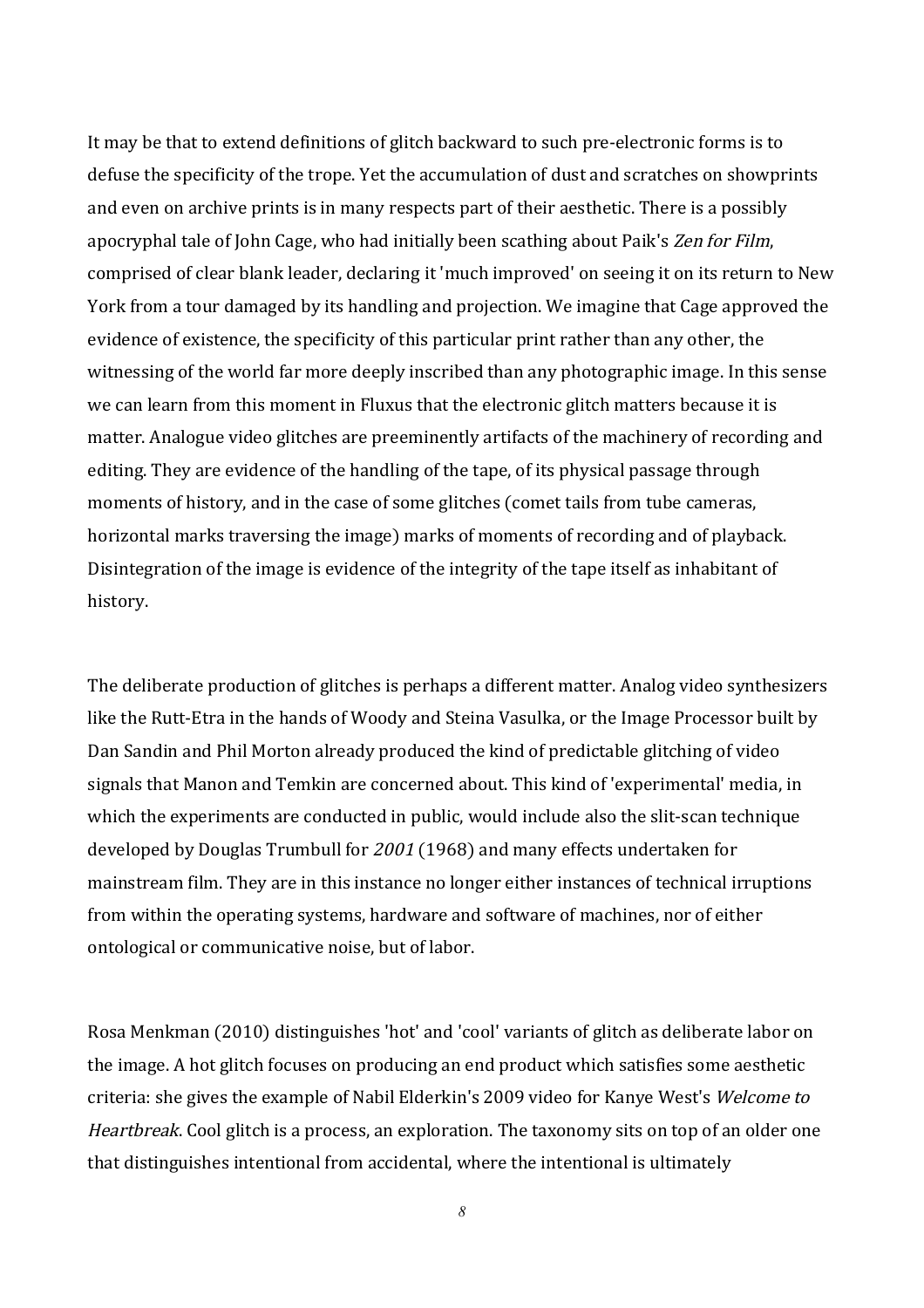It may be that to extend definitions of glitch backward to such pre-electronic forms is to defuse the specificity of the trope. Yet the accumulation of dust and scratches on showprints and even on archive prints is in many respects part of their aesthetic. There is a possibly apocryphal tale of John Cage, who had initially been scathing about Paik's Zen for Film, comprised of clear blank leader, declaring it 'much improved' on seeing it on its return to New York from a tour damaged by its handling and projection. We imagine that Cage approved the evidence of existence, the specificity of this particular print rather than any other, the witnessing of the world far more deeply inscribed than any photographic image. In this sense we can learn from this moment in Fluxus that the electronic glitch matters because it is matter. Analogue video glitches are preeminently artifacts of the machinery of recording and editing. They are evidence of the handling of the tape, of its physical passage through moments of history, and in the case of some glitches (comet tails from tube cameras, horizontal marks traversing the image) marks of moments of recording and of playback. Disintegration of the image is evidence of the integrity of the tape itself as inhabitant of history.

The deliberate production of glitches is perhaps a different matter. Analog video synthesizers like the Rutt-Etra in the hands of Woody and Steina Vasulka, or the Image Processor built by Dan Sandin and Phil Morton already produced the kind of predictable glitching of video signals that Manon and Temkin are concerned about. This kind of 'experimental' media, in which the experiments are conducted in public, would include also the slit-scan technique developed by Douglas Trumbull for 2001 (1968) and many effects undertaken for mainstream film. They are in this instance no longer either instances of technical irruptions from within the operating systems, hardware and software of machines, nor of either ontological or communicative noise, but of labor.

Rosa Menkman (2010) distinguishes 'hot' and 'cool' variants of glitch as deliberate labor on the image. A hot glitch focuses on producing an end product which satisfies some aesthetic criteria: she gives the example of Nabil Elderkin's 2009 video for Kanye West's Welcome to Heartbreak. Cool glitch is a process, an exploration. The taxonomy sits on top of an older one that distinguishes intentional from accidental, where the intentional is ultimately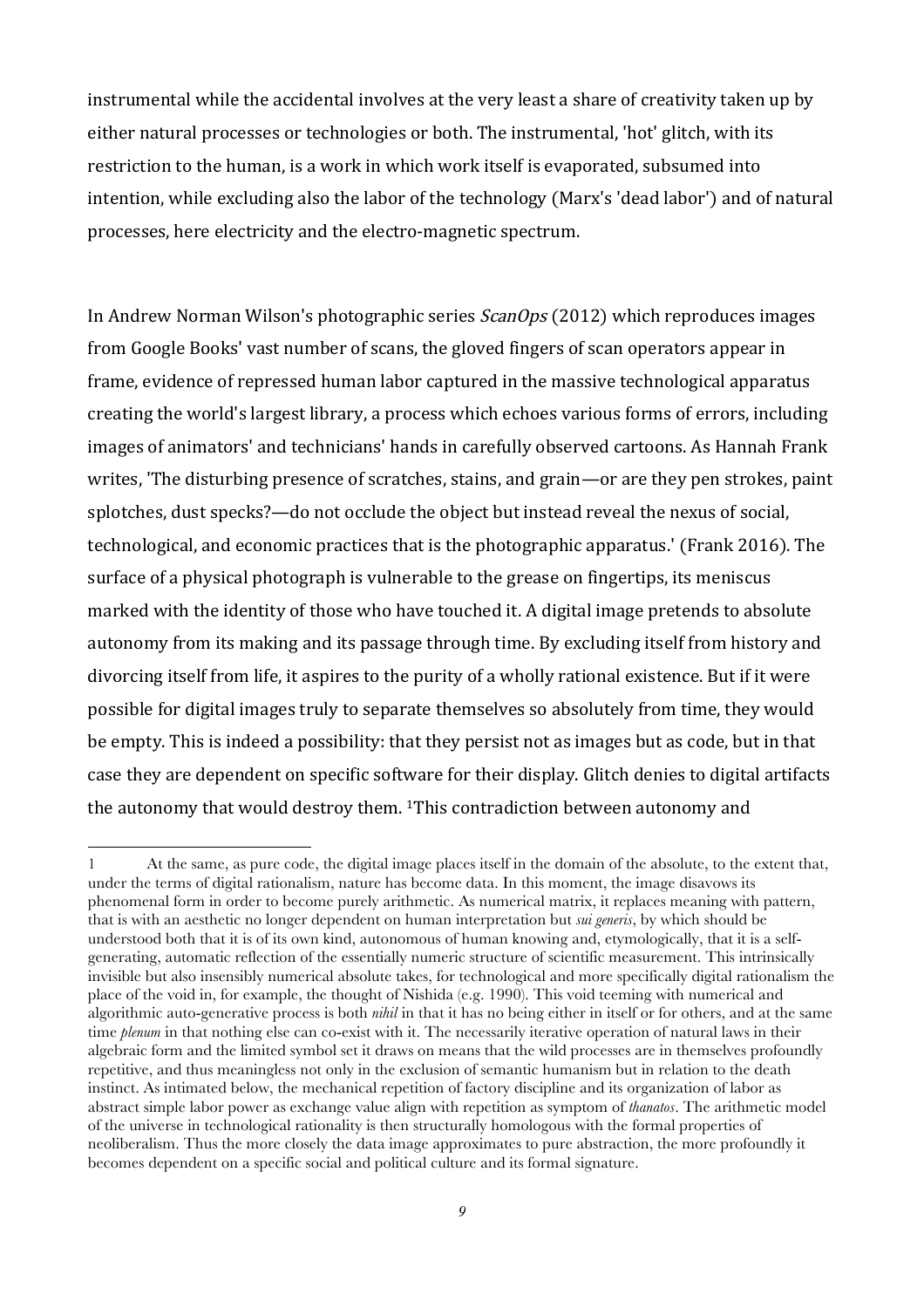instrumental while the accidental involves at the very least a share of creativity taken up by either natural processes or technologies or both. The instrumental, 'hot' glitch, with its restriction to the human, is a work in which work itself is evaporated, subsumed into intention, while excluding also the labor of the technology (Marx's 'dead labor') and of natural processes, here electricity and the electro-magnetic spectrum.

In Andrew Norman Wilson's photographic series *ScanOps* (2012) which reproduces images from Google Books' vast number of scans, the gloved fingers of scan operators appear in frame, evidence of repressed human labor captured in the massive technological apparatus creating the world's largest library, a process which echoes various forms of errors, including images of animators' and technicians' hands in carefully observed cartoons. As Hannah Frank writes, 'The disturbing presence of scratches, stains, and grain—or are they pen strokes, paint splotches, dust specks?—do not occlude the object but instead reveal the nexus of social, technological, and economic practices that is the photographic apparatus.' (Frank 2016). The surface of a physical photograph is vulnerable to the grease on fingertips, its meniscus marked with the identity of those who have touched it. A digital image pretends to absolute autonomy from its making and its passage through time. By excluding itself from history and divorcing itself from life, it aspires to the purity of a wholly rational existence. But if it were possible for digital images truly to separate themselves so absolutely from time, they would be empty. This is indeed a possibility: that they persist not as images but as code, but in that case they are dependent on specific software for their display. Glitch denies to digital artifacts the autonomy that would destroy them. <sup>1</sup>This contradiction between autonomy and

 $\overline{a}$ 

<sup>1</sup> At the same, as pure code, the digital image places itself in the domain of the absolute, to the extent that, under the terms of digital rationalism, nature has become data. In this moment, the image disavows its phenomenal form in order to become purely arithmetic. As numerical matrix, it replaces meaning with pattern, that is with an aesthetic no longer dependent on human interpretation but *sui generis*, by which should be understood both that it is of its own kind, autonomous of human knowing and, etymologically, that it is a selfgenerating, automatic reflection of the essentially numeric structure of scientific measurement. This intrinsically invisible but also insensibly numerical absolute takes, for technological and more specifically digital rationalism the place of the void in, for example, the thought of Nishida (e.g. 1990). This void teeming with numerical and algorithmic auto-generative process is both *nihil* in that it has no being either in itself or for others, and at the same time *plenum* in that nothing else can co-exist with it. The necessarily iterative operation of natural laws in their algebraic form and the limited symbol set it draws on means that the wild processes are in themselves profoundly repetitive, and thus meaningless not only in the exclusion of semantic humanism but in relation to the death instinct. As intimated below, the mechanical repetition of factory discipline and its organization of labor as abstract simple labor power as exchange value align with repetition as symptom of *thanatos*. The arithmetic model of the universe in technological rationality is then structurally homologous with the formal properties of neoliberalism. Thus the more closely the data image approximates to pure abstraction, the more profoundly it becomes dependent on a specific social and political culture and its formal signature.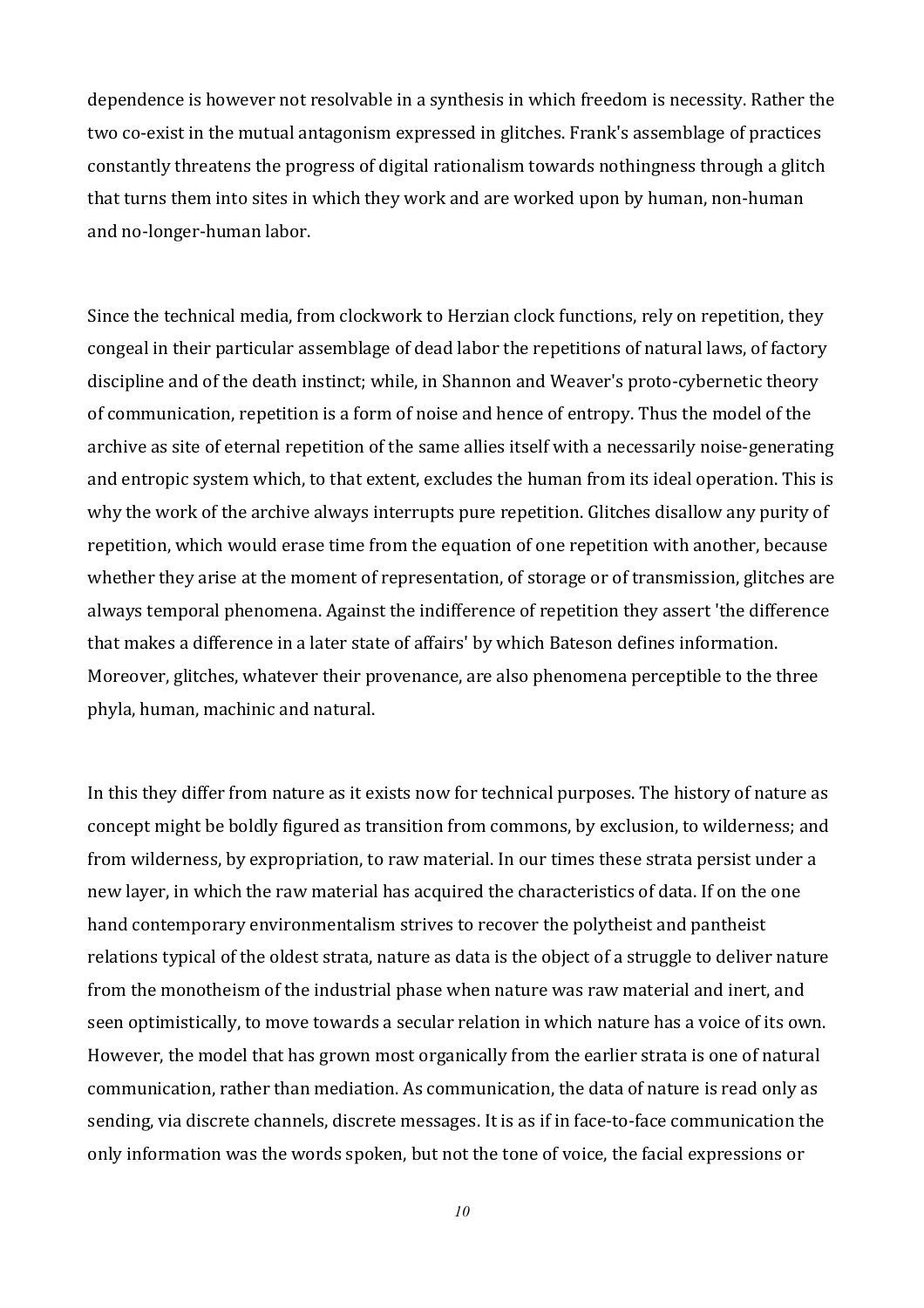dependence is however not resolvable in a synthesis in which freedom is necessity. Rather the two co-exist in the mutual antagonism expressed in glitches. Frank's assemblage of practices constantly threatens the progress of digital rationalism towards nothingness through a glitch that turns them into sites in which they work and are worked upon by human, non-human and no-longer-human labor.

Since the technical media, from clockwork to Herzian clock functions, rely on repetition, they congeal in their particular assemblage of dead labor the repetitions of natural laws, of factory discipline and of the death instinct; while, in Shannon and Weaver's proto-cybernetic theory of communication, repetition is a form of noise and hence of entropy. Thus the model of the archive as site of eternal repetition of the same allies itself with a necessarily noise-generating and entropic system which, to that extent, excludes the human from its ideal operation. This is why the work of the archive always interrupts pure repetition. Glitches disallow any purity of repetition, which would erase time from the equation of one repetition with another, because whether they arise at the moment of representation, of storage or of transmission, glitches are always temporal phenomena. Against the indifference of repetition they assert 'the difference' that makes a difference in a later state of affairs' by which Bateson defines information. Moreover, glitches, whatever their provenance, are also phenomena perceptible to the three phyla, human, machinic and natural.

In this they differ from nature as it exists now for technical purposes. The history of nature as concept might be boldly figured as transition from commons, by exclusion, to wilderness; and from wilderness, by expropriation, to raw material. In our times these strata persist under a new layer, in which the raw material has acquired the characteristics of data. If on the one hand contemporary environmentalism strives to recover the polytheist and pantheist relations typical of the oldest strata, nature as data is the object of a struggle to deliver nature from the monotheism of the industrial phase when nature was raw material and inert, and seen optimistically, to move towards a secular relation in which nature has a voice of its own. However, the model that has grown most organically from the earlier strata is one of natural communication, rather than mediation. As communication, the data of nature is read only as sending, via discrete channels, discrete messages. It is as if in face-to-face communication the only information was the words spoken, but not the tone of voice, the facial expressions or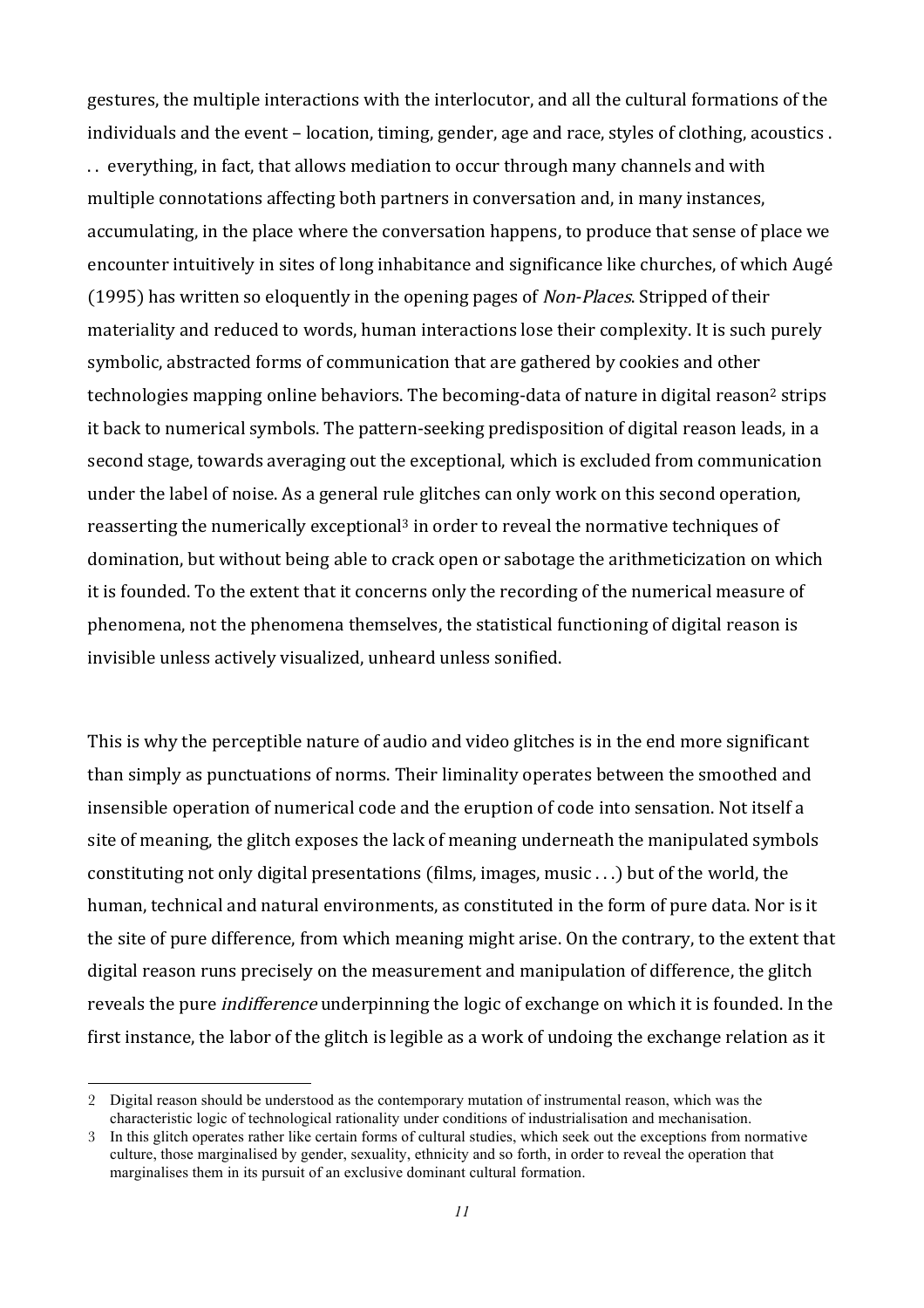gestures,'the'multiple'interactions'with'the'interlocutor,'and'all'the'cultural'formations'of'the' individuals and the event – location, timing, gender, age and race, styles of clothing, acoustics. .. everything, in fact, that allows mediation to occur through many channels and with multiple connotations affecting both partners in conversation and, in many instances, accumulating, in the place where the conversation happens, to produce that sense of place we encounter intuitively in sites of long inhabitance and significance like churches, of which Augé (1995) has written so eloquently in the opening pages of *Non-Places*. Stripped of their materiality and reduced to words, human interactions lose their complexity. It is such purely symbolic, abstracted forms of communication that are gathered by cookies and other technologies mapping online behaviors. The becoming-data of nature in digital reason<sup>2</sup> strips it back to numerical symbols. The pattern-seeking predisposition of digital reason leads, in a second stage, towards averaging out the exceptional, which is excluded from communication under the label of noise. As a general rule glitches can only work on this second operation, reasserting the numerically exceptional<sup>3</sup> in order to reveal the normative techniques of domination, but without being able to crack open or sabotage the arithmeticization on which it is founded. To the extent that it concerns only the recording of the numerical measure of phenomena, not the phenomena themselves, the statistical functioning of digital reason is invisible unless actively visualized, unheard unless sonified.

This is why the perceptible nature of audio and video glitches is in the end more significant than simply as punctuations of norms. Their liminality operates between the smoothed and insensible operation of numerical code and the eruption of code into sensation. Not itself a site of meaning, the glitch exposes the lack of meaning underneath the manipulated symbols constituting not only digital presentations (films, images, music  $\ldots$ ) but of the world, the human, technical and natural environments, as constituted in the form of pure data. Nor is it the site of pure difference, from which meaning might arise. On the contrary, to the extent that digital reason runs precisely on the measurement and manipulation of difference, the glitch reveals the pure *indifference* underpinning the logic of exchange on which it is founded. In the first instance, the labor of the glitch is legible as a work of undoing the exchange relation as it

 $\overline{\phantom{a}}$ 

<sup>2</sup> Digital reason should be understood as the contemporary mutation of instrumental reason, which was the characteristic logic of technological rationality under conditions of industrialisation and mechanisation.

<sup>3</sup> In this glitch operates rather like certain forms of cultural studies, which seek out the exceptions from normative culture, those marginalised by gender, sexuality, ethnicity and so forth, in order to reveal the operation that marginalises them in its pursuit of an exclusive dominant cultural formation.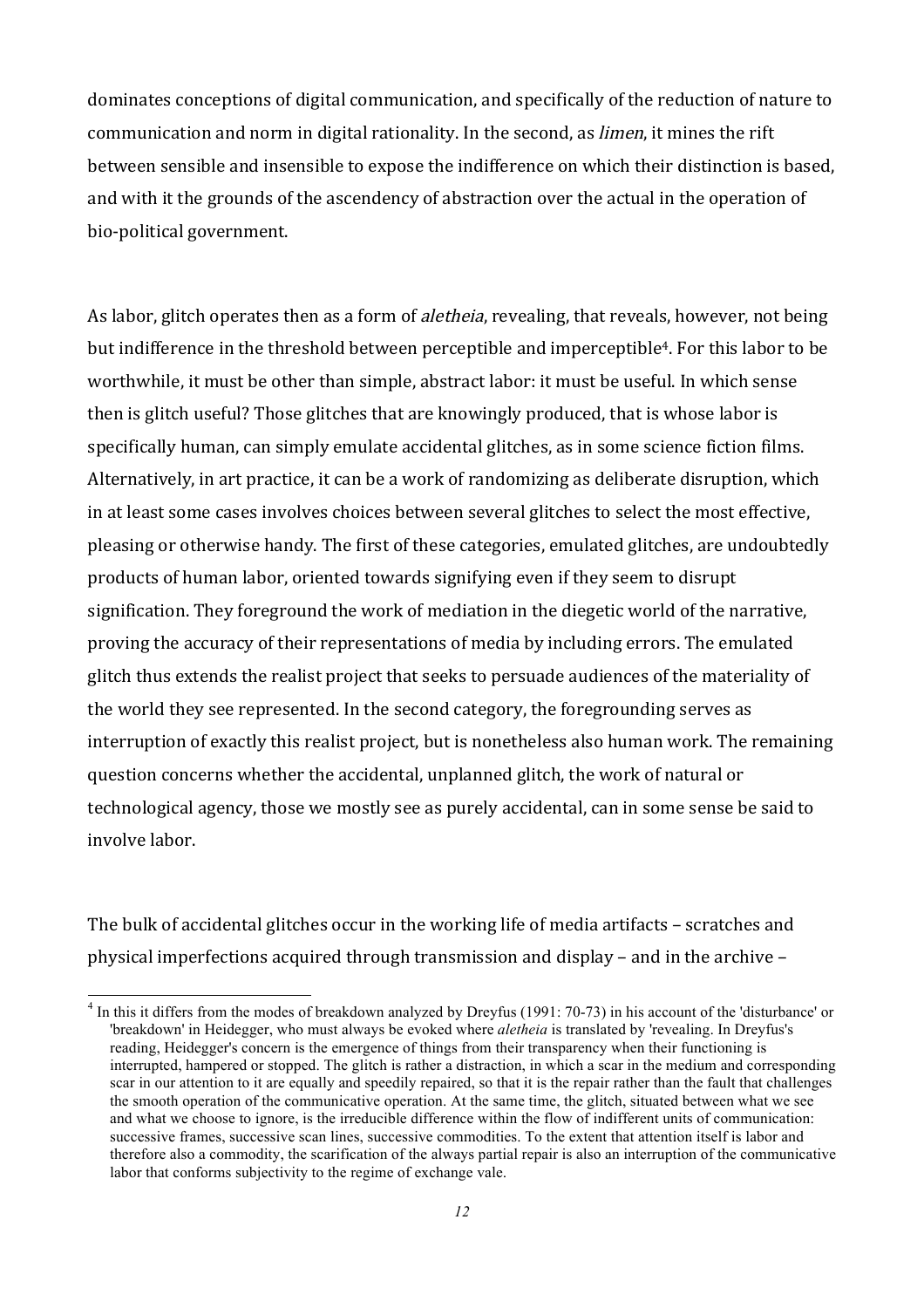dominates'conceptions'of'digital'communication,'and'specifically'of'the'reduction'of'nature'to' communication and norm in digital rationality. In the second, as *limen*, it mines the rift between sensible and insensible to expose the indifference on which their distinction is based, and with it the grounds of the ascendency of abstraction over the actual in the operation of bio-political government.

As labor, glitch operates then as a form of *aletheia*, revealing, that reveals, however, not being' but indifference in the threshold between perceptible and imperceptible<sup>4</sup>. For this labor to be worthwhile, it must be other than simple, abstract labor: it must be useful. In which sense then is glitch useful? Those glitches that are knowingly produced, that is whose labor is specifically human, can simply emulate accidental glitches, as in some science fiction films. Alternatively, in art practice, it can be a work of randomizing as deliberate disruption, which in at least some cases involves choices between several glitches to select the most effective, pleasing or otherwise handy. The first of these categories, emulated glitches, are undoubtedly products of human labor, oriented towards signifying even if they seem to disrupt signification. They foreground the work of mediation in the diegetic world of the narrative, proving the accuracy of their representations of media by including errors. The emulated glitch thus extends the realist project that seeks to persuade audiences of the materiality of the world they see represented. In the second category, the foregrounding serves as interruption of exactly this realist project, but is nonetheless also human work. The remaining question concerns whether the accidental, unplanned glitch, the work of natural or technological agency, those we mostly see as purely accidental, can in some sense be said to involve labor.

The bulk of accidental glitches occur in the working life of media artifacts – scratches and physical imperfections acquired through transmission and display – and in the archive –

<sup>&</sup>lt;sup>4</sup> In this it differs from the modes of breakdown analyzed by Dreyfus (1991: 70-73) in his account of the 'disturbance' or 'breakdown' in Heidegger, who must always be evoked where *aletheia* is translated by 'revealing. In Dreyfus's reading, Heidegger's concern is the emergence of things from their transparency when their functioning is interrupted, hampered or stopped. The glitch is rather a distraction, in which a scar in the medium and corresponding scar in our attention to it are equally and speedily repaired, so that it is the repair rather than the fault that challenges the smooth operation of the communicative operation. At the same time, the glitch, situated between what we see and what we choose to ignore, is the irreducible difference within the flow of indifferent units of communication: successive frames, successive scan lines, successive commodities. To the extent that attention itself is labor and therefore also a commodity, the scarification of the always partial repair is also an interruption of the communicative labor that conforms subjectivity to the regime of exchange vale.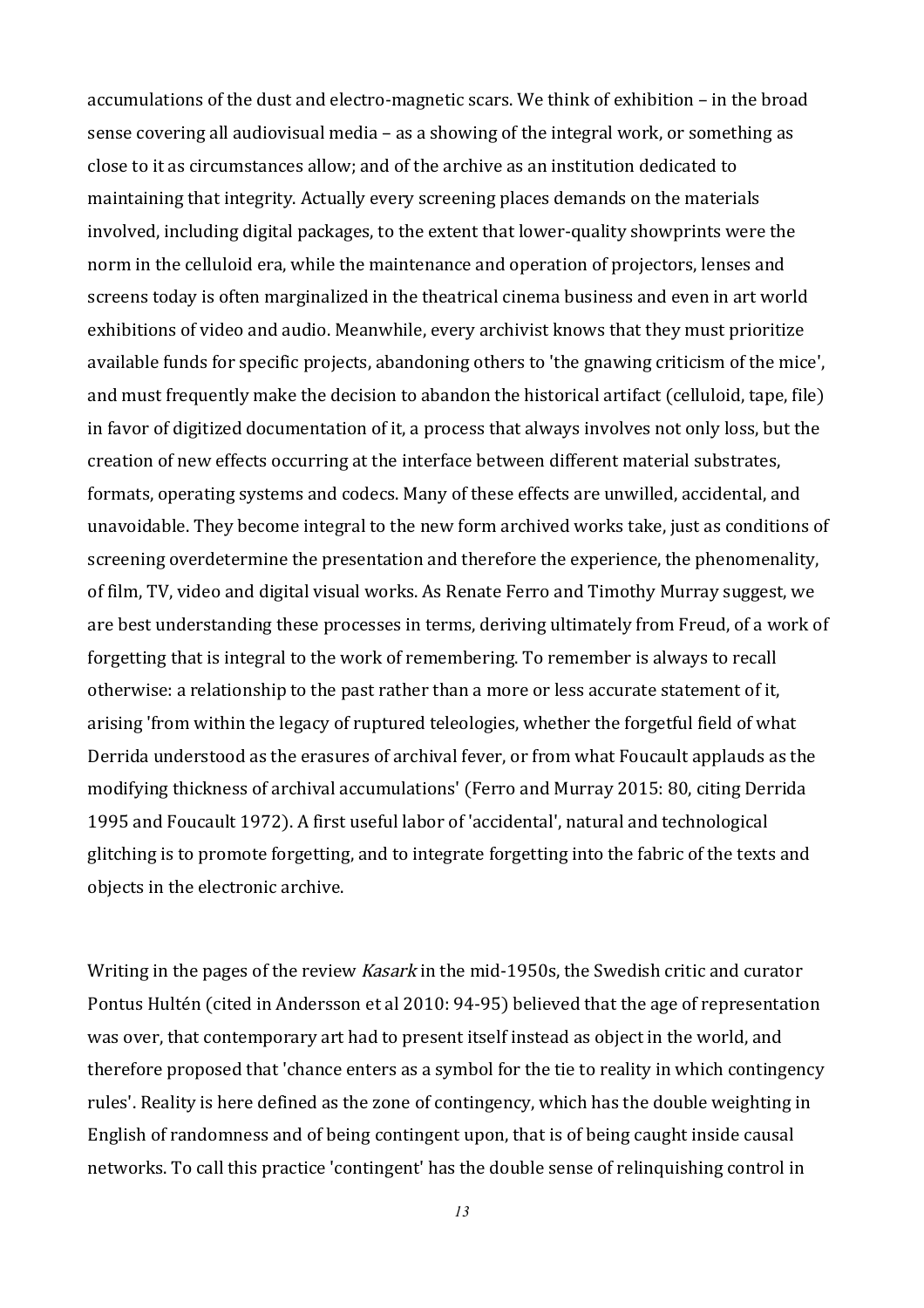accumulations of the dust and electro-magnetic scars. We think of exhibition – in the broad sense covering all audiovisual media – as a showing of the integral work, or something as close to it as circumstances allow; and of the archive as an institution dedicated to maintaining that integrity. Actually every screening places demands on the materials involved, including digital packages, to the extent that lower-quality showprints were the norm in the celluloid era, while the maintenance and operation of projectors, lenses and screens today is often marginalized in the theatrical cinema business and even in art world exhibitions of video and audio. Meanwhile, every archivist knows that they must prioritize available funds for specific projects, abandoning others to 'the gnawing criticism of the mice', and must frequently make the decision to abandon the historical artifact (celluloid, tape, file) in favor of digitized documentation of it, a process that always involves not only loss, but the creation of new effects occurring at the interface between different material substrates, formats, operating systems and codecs. Many of these effects are unwilled, accidental, and unavoidable. They become integral to the new form archived works take, just as conditions of screening overdetermine the presentation and therefore the experience, the phenomenality, of film, TV, video and digital visual works. As Renate Ferro and Timothy Murray suggest, we are best understanding these processes in terms, deriving ultimately from Freud, of a work of forgetting that is integral to the work of remembering. To remember is always to recall otherwise: a relationship to the past rather than a more or less accurate statement of it, arising 'from within the legacy of ruptured teleologies, whether the forgetful field of what Derrida understood as the erasures of archival fever, or from what Foucault applauds as the modifying thickness of archival accumulations' (Ferro and Murray 2015: 80, citing Derrida 1995 and Foucault 1972). A first useful labor of 'accidental', natural and technological glitching is to promote forgetting, and to integrate forgetting into the fabric of the texts and objects in the electronic archive.

Writing in the pages of the review *Kasark* in the mid-1950s, the Swedish critic and curator Pontus Hultén (cited in Andersson et al 2010: 94-95) believed that the age of representation was over, that contemporary art had to present itself instead as object in the world, and therefore proposed that 'chance enters as a symbol for the tie to reality in which contingency rules'. Reality is here defined as the zone of contingency, which has the double weighting in English of randomness and of being contingent upon, that is of being caught inside causal networks. To call this practice 'contingent' has the double sense of relinquishing control in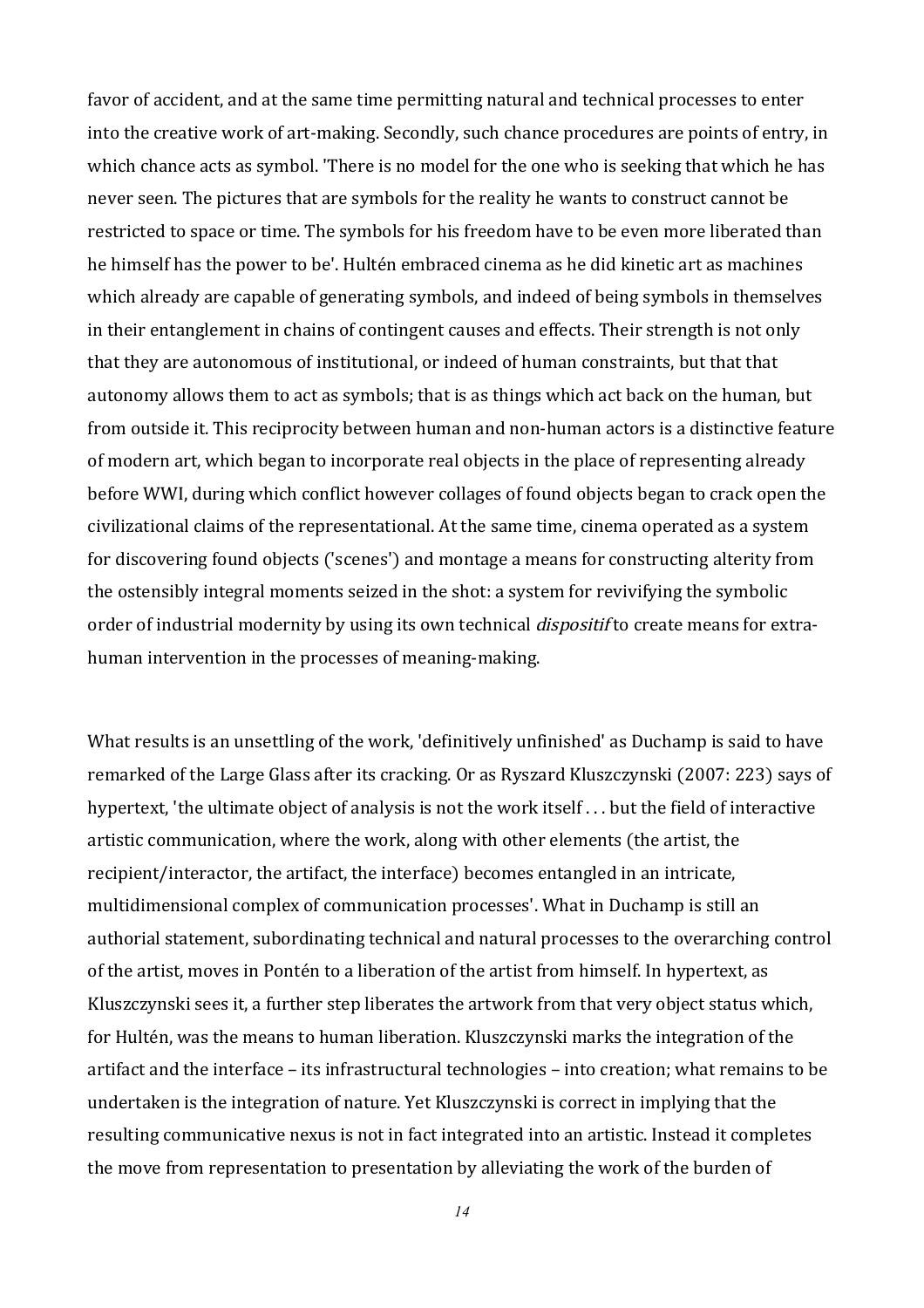favor of accident, and at the same time permitting natural and technical processes to enter into the creative work of art-making. Secondly, such chance procedures are points of entry, in which chance acts as symbol. 'There is no model for the one who is seeking that which he has never's seen. The pictures that are symbols for the reality he wants to construct cannot be restricted to space or time. The symbols for his freedom have to be even more liberated than he himself has the power to be'. Hultén embraced cinema as he did kinetic art as machines which already are capable of generating symbols, and indeed of being symbols in themselves in their entanglement in chains of contingent causes and effects. Their strength is not only that they are autonomous of institutional, or indeed of human constraints, but that that autonomy allows them to act as symbols; that is as things which act back on the human, but from outside it. This reciprocity between human and non-human actors is a distinctive feature of modern art, which began to incorporate real objects in the place of representing already before WWI, during which conflict however collages of found objects began to crack open the civilizational claims of the representational. At the same time, cinema operated as a system for discovering found objects ('scenes') and montage a means for constructing alterity from the ostensibly integral moments seized in the shot: a system for revivifying the symbolic order of industrial modernity by using its own technical *dispositif* to create means for extrahuman intervention in the processes of meaning-making.

What results is an unsettling of the work, 'definitively unfinished' as Duchamp is said to have remarked of the Large Glass after its cracking. Or as Ryszard Kluszczynski (2007: 223) says of hypertext, 'the ultimate object of analysis is not the work itself... but the field of interactive artistic communication, where the work, along with other elements (the artist, the recipient/interactor, the artifact, the interface) becomes entangled in an intricate, multidimensional complex of communication processes'. What in Duchamp is still an authorial statement, subordinating technical and natural processes to the overarching control of the artist, moves in Pontén to a liberation of the artist from himself. In hypertext, as Kluszczynski sees it, a further step liberates the artwork from that very object status which, for Hultén, was the means to human liberation. Kluszczynski marks the integration of the artifact and the interface – its infrastructural technologies – into creation; what remains to be undertaken is the integration of nature. Yet Kluszczynski is correct in implying that the resulting communicative nexus is not in fact integrated into an artistic. Instead it completes the move from representation to presentation by alleviating the work of the burden of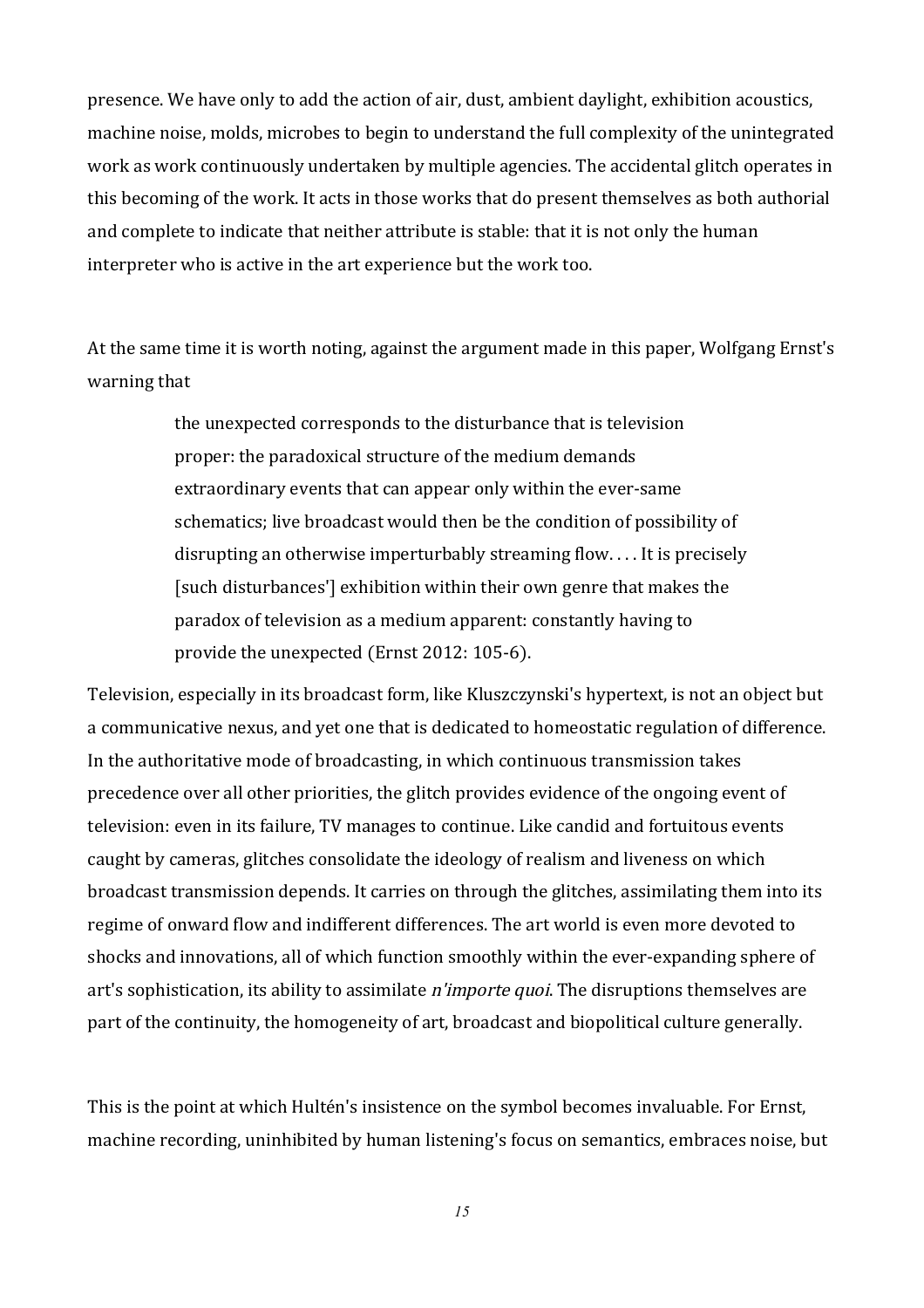presence. We have only to add the action of air, dust, ambient daylight, exhibition acoustics, machine noise, molds, microbes to begin to understand the full complexity of the unintegrated work as work continuously undertaken by multiple agencies. The accidental glitch operates in this becoming of the work. It acts in those works that do present themselves as both authorial and complete to indicate that neither attribute is stable: that it is not only the human interpreter who is active in the art experience but the work too.

At the same time it is worth noting, against the argument made in this paper, Wolfgang Ernst's warning that

> the unexpected corresponds to the disturbance that is television proper: the paradoxical structure of the medium demands extraordinary events that can appear only within the ever-same schematics; live broadcast would then be the condition of possibility of disrupting an otherwise imperturbably streaming flow.... It is precisely [such disturbances'] exhibition within their own genre that makes the paradox of television as a medium apparent: constantly having to provide the unexpected (Ernst 2012: 105-6).

Television, especially in its broadcast form, like Kluszczynski's hypertext, is not an object but a communicative nexus, and yet one that is dedicated to homeostatic regulation of difference. In the authoritative mode of broadcasting, in which continuous transmission takes precedence over all other priorities, the glitch provides evidence of the ongoing event of television: even in its failure, TV manages to continue. Like candid and fortuitous events caught by cameras, glitches consolidate the ideology of realism and liveness on which broadcast transmission depends. It carries on through the glitches, assimilating them into its regime of onward flow and indifferent differences. The art world is even more devoted to shocks and innovations, all of which function smoothly within the ever-expanding sphere of art's sophistication, its ability to assimilate *n'importe quoi*. The disruptions themselves are part of the continuity, the homogeneity of art, broadcast and biopolitical culture generally.

This is the point at which Hultén's insistence on the symbol becomes invaluable. For Ernst, machine recording, uninhibited by human listening's focus on semantics, embraces noise, but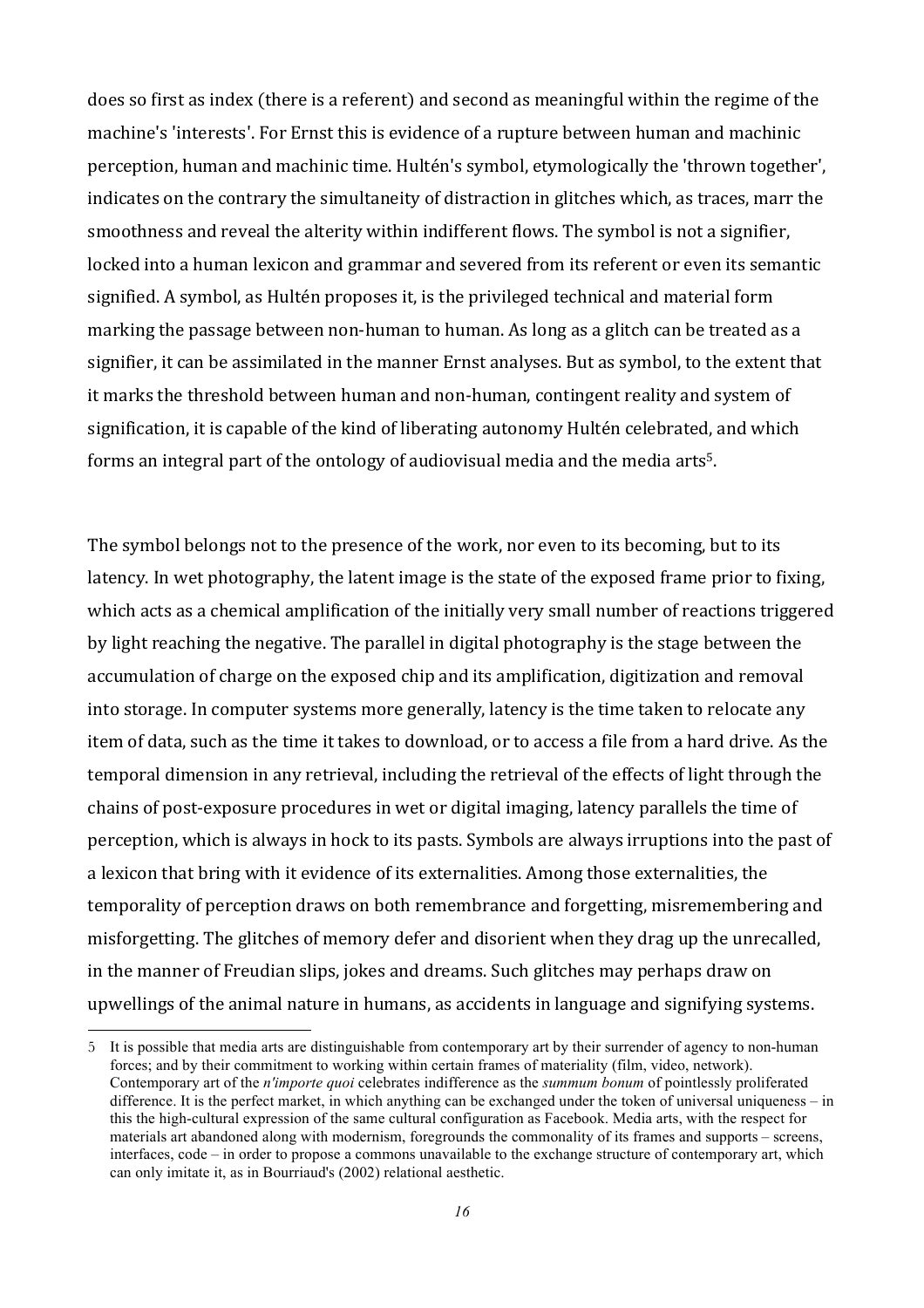does so first as index (there is a referent) and second as meaningful within the regime of the machine's 'interests'. For Ernst this is evidence of a rupture between human and machinic perception, human and machinic time. Hultén's symbol, etymologically the 'thrown together', indicates on the contrary the simultaneity of distraction in glitches which, as traces, marr the smoothness and reveal the alterity within indifferent flows. The symbol is not a signifier, locked into a human lexicon and grammar and severed from its referent or even its semantic signified. A symbol, as Hultén proposes it, is the privileged technical and material form marking the passage between non-human to human. As long as a glitch can be treated as a signifier, it can be assimilated in the manner Ernst analyses. But as symbol, to the extent that it marks the threshold between human and non-human, contingent reality and system of signification, it is capable of the kind of liberating autonomy Hultén celebrated, and which forms an integral part of the ontology of audiovisual media and the media arts<sup>5</sup>.

The symbol belongs not to the presence of the work, nor even to its becoming, but to its latency. In wet photography, the latent image is the state of the exposed frame prior to fixing, which acts as a chemical amplification of the initially very small number of reactions triggered by light reaching the negative. The parallel in digital photography is the stage between the accumulation of charge on the exposed chip and its amplification, digitization and removal into storage. In computer systems more generally, latency is the time taken to relocate any item of data, such as the time it takes to download, or to access a file from a hard drive. As the temporal dimension in any retrieval, including the retrieval of the effects of light through the chains of post-exposure procedures in wet or digital imaging, latency parallels the time of perception, which is always in hock to its pasts. Symbols are always irruptions into the past of a lexicon that bring with it evidence of its externalities. Among those externalities, the temporality of perception draws on both remembrance and forgetting, misremembering and misforgetting. The glitches of memory defer and disorient when they drag up the unrecalled, in the manner of Freudian slips, jokes and dreams. Such glitches may perhaps draw on upwellings of the animal nature in humans, as accidents in language and signifying systems.

 $\overline{a}$ 

<sup>5</sup> It is possible that media arts are distinguishable from contemporary art by their surrender of agency to non-human forces; and by their commitment to working within certain frames of materiality (film, video, network). Contemporary art of the *n'importe quoi* celebrates indifference as the *summum bonum* of pointlessly proliferated difference. It is the perfect market, in which anything can be exchanged under the token of universal uniqueness – in this the high-cultural expression of the same cultural configuration as Facebook. Media arts, with the respect for materials art abandoned along with modernism, foregrounds the commonality of its frames and supports – screens, interfaces, code – in order to propose a commons unavailable to the exchange structure of contemporary art, which can only imitate it, as in Bourriaud's (2002) relational aesthetic.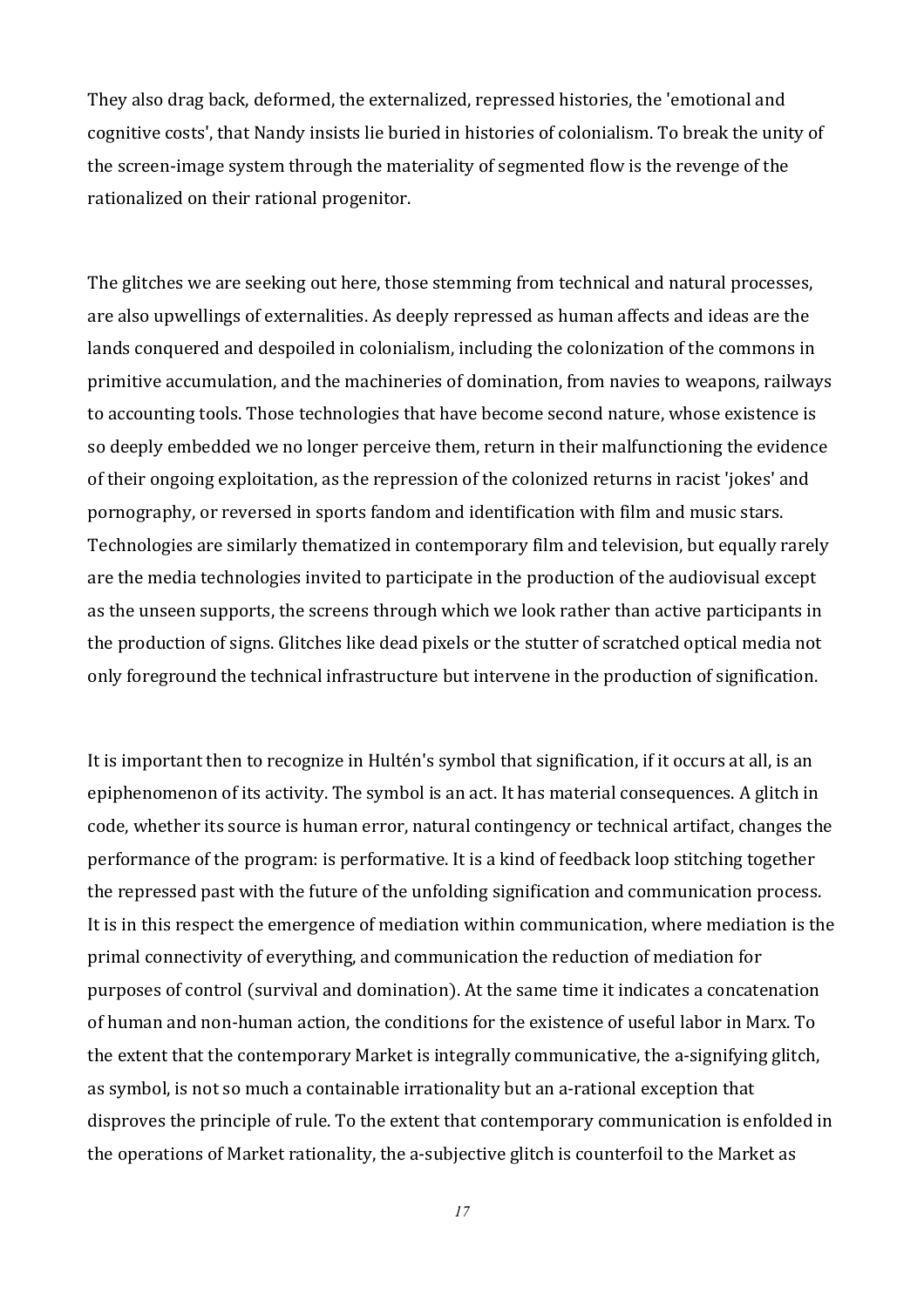They also drag back, deformed, the externalized, repressed histories, the 'emotional and' cognitive costs', that Nandy insists lie buried in histories of colonialism. To break the unity of the screen-image system through the materiality of segmented flow is the revenge of the rationalized on their rational progenitor.

The glitches we are seeking out here, those stemming from technical and natural processes, are also upwellings of externalities. As deeply repressed as human affects and ideas are the lands conquered and despoiled in colonialism, including the colonization of the commons in primitive accumulation, and the machineries of domination, from navies to weapons, railways to accounting tools. Those technologies that have become second nature, whose existence is so deeply embedded we no longer perceive them, return in their malfunctioning the evidence of their ongoing exploitation, as the repression of the colonized returns in racist 'jokes' and pornography, or reversed in sports fandom and identification with film and music stars. Technologies are similarly thematized in contemporary film and television, but equally rarely are the media technologies invited to participate in the production of the audiovisual except as the unseen supports, the screens through which we look rather than active participants in the production of signs. Glitches like dead pixels or the stutter of scratched optical media not only foreground the technical infrastructure but intervene in the production of signification.

It is important then to recognize in Hultén's symbol that signification, if it occurs at all, is an epiphenomenon of its activity. The symbol is an act. It has material consequences. A glitch in code, whether its source is human error, natural contingency or technical artifact, changes the performance of the program: is performative. It is a kind of feedback loop stitching together the repressed past with the future of the unfolding signification and communication process. It is in this respect the emergence of mediation within communication, where mediation is the primal connectivity of everything, and communication the reduction of mediation for purposes of control (survival and domination). At the same time it indicates a concatenation of human and non-human action, the conditions for the existence of useful labor in Marx. To the extent that the contemporary Market is integrally communicative, the a-signifying glitch, as symbol, is not so much a containable irrationality but an a-rational exception that disproves the principle of rule. To the extent that contemporary communication is enfolded in the operations of Market rationality, the a-subjective glitch is counterfoil to the Market as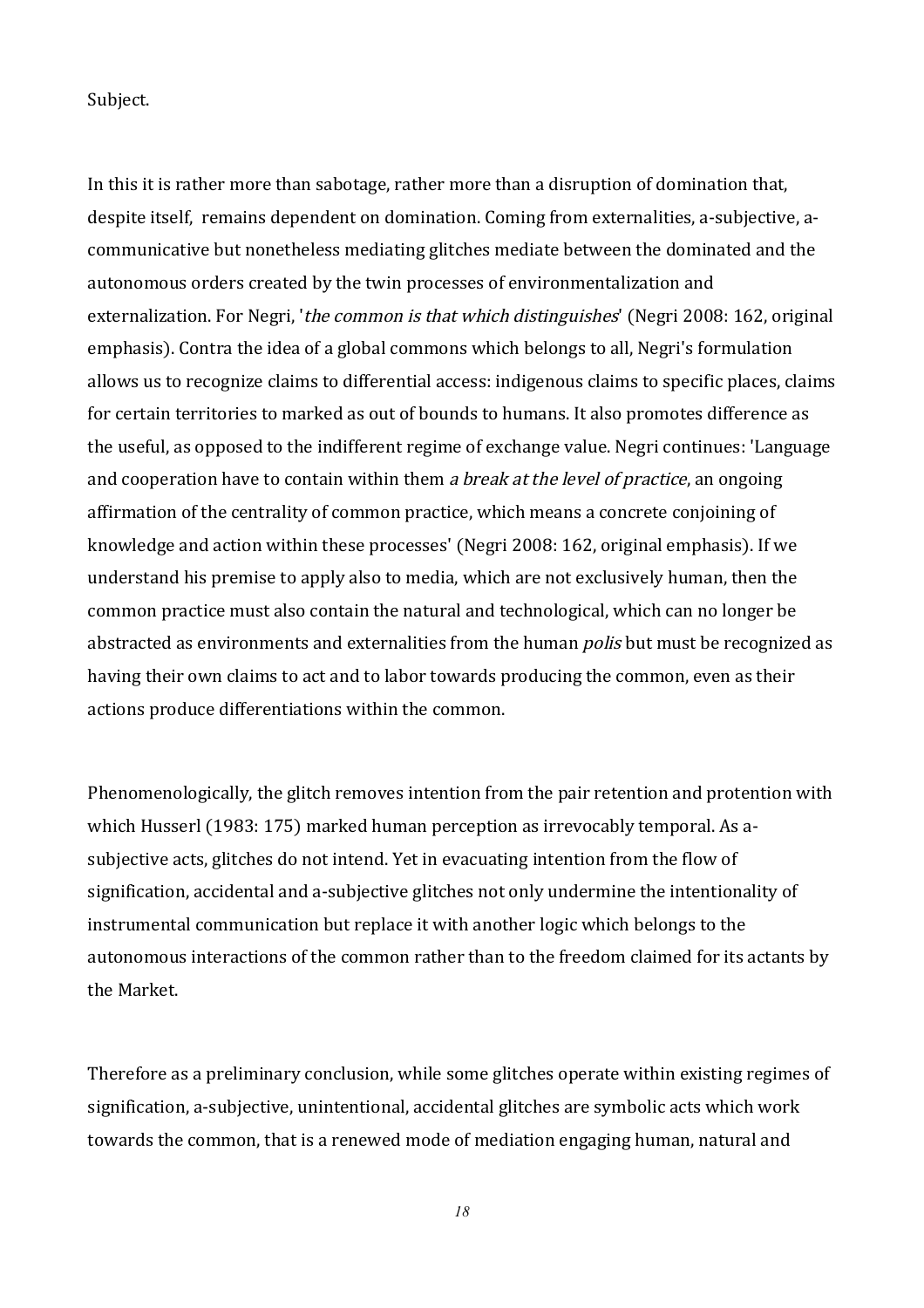Subject.

In this it is rather more than sabotage, rather more than a disruption of domination that, despite itself, remains dependent on domination. Coming from externalities, a-subjective, acommunicative but nonetheless mediating glitches mediate between the dominated and the autonomous orders created by the twin processes of environmentalization and externalization. For Negri, 'the common is that which distinguishes' (Negri 2008: 162, original emphasis). Contra the idea of a global commons which belongs to all, Negri's formulation allows us to recognize claims to differential access: indigenous claims to specific places, claims for certain territories to marked as out of bounds to humans. It also promotes difference as the useful, as opposed to the indifferent regime of exchange value. Negri continues: 'Language' and cooperation have to contain within them a break at the level of practice, an ongoing affirmation of the centrality of common practice, which means a concrete conjoining of knowledge and action within these processes' (Negri 2008: 162, original emphasis). If we understand his premise to apply also to media, which are not exclusively human, then the common practice must also contain the natural and technological, which can no longer be abstracted as environments and externalities from the human *polis* but must be recognized as having their own claims to act and to labor towards producing the common, even as their actions produce differentiations within the common.

Phenomenologically, the glitch removes intention from the pair retention and protention with which Husserl (1983: 175) marked human perception as irrevocably temporal. As asubjective acts, glitches do not intend. Yet in evacuating intention from the flow of signification, accidental and a-subjective glitches not only undermine the intentionality of instrumental communication but replace it with another logic which belongs to the autonomous interactions of the common rather than to the freedom claimed for its actants by the Market.

Therefore as a preliminary conclusion, while some glitches operate within existing regimes of signification, a-subjective, unintentional, accidental glitches are symbolic acts which work towards the common, that is a renewed mode of mediation engaging human, natural and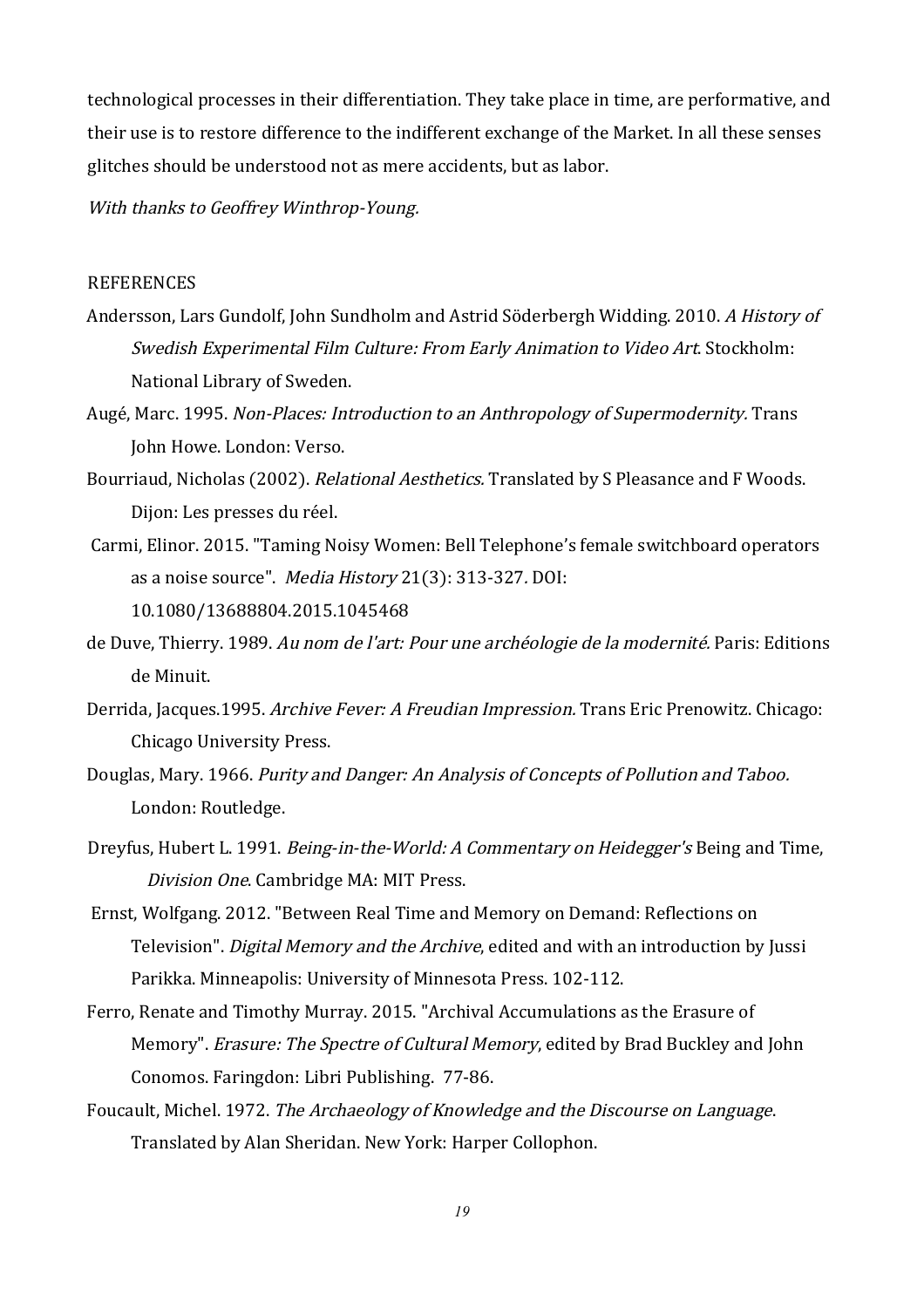technological processes in their differentiation. They take place in time, are performative, and their use is to restore difference to the indifferent exchange of the Market. In all these senses glitches should be understood not as mere accidents, but as labor.

With thanks to Geoffrey Winthrop-Young.

#### **REFERENCES**

- Andersson, Lars Gundolf, John Sundholm and Astrid Söderbergh Widding, 2010. A History of Swedish Experimental Film Culture: From Early Animation to Video Art. Stockholm: National Library of Sweden.
- Augé, Marc. 1995. Non-Places: Introduction to an Anthropology of Supermodernity. Trans John Howe. London: Verso.
- Bourriaud, Nicholas (2002). Relational Aesthetics. Translated by S Pleasance and F Woods. Dijon: Les presses du réel.
- Carmi, Elinor. 2015. "Taming Noisy Women: Bell Telephone's female switchboard operators as a noise source". Media History 21(3): 313-327. DOI: 10.1080/13688804.2015.1045468
- de Duve, Thierry. 1989. Au nom de l'art: Pour une archéologie de la modernité. Paris: Editions de Minuit.
- Derrida, Jacques.1995. Archive Fever: A Freudian Impression. Trans Eric Prenowitz. Chicago: Chicago University Press.
- Douglas, Mary. 1966. Purity and Danger: An Analysis of Concepts of Pollution and Taboo. London: Routledge.
- Dreyfus, Hubert L. 1991. Being-in-the-World: A Commentary on Heidegger's Being and Time, Division One. Cambridge MA: MIT Press.
- Ernst, Wolfgang. 2012. "Between Real Time and Memory on Demand: Reflections on Television". Digital Memory and the Archive, edited and with an introduction by Jussi Parikka. Minneapolis: University of Minnesota Press. 102-112.
- Ferro, Renate and Timothy Murray. 2015. "Archival Accumulations as the Erasure of Memory". Erasure: The Spectre of Cultural Memory, edited by Brad Buckley and John Conomos. Faringdon: Libri Publishing. 77-86.
- Foucault, Michel. 1972. The Archaeology of Knowledge and the Discourse on Language. Translated by Alan Sheridan. New York: Harper Collophon.